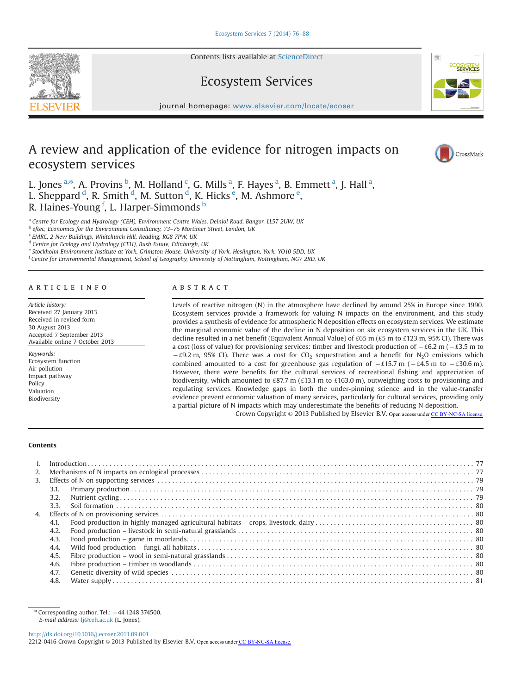Contents lists available at [ScienceDirect](www.sciencedirect.com/science/journal/22120416)







journal homepage: <www.elsevier.com/locate/ecoser>-ecoser-ecoser-ecoser-ecoser-ecoser-ecoser-ecoser-ecoser-ecoser-ecoser-ecoser-ecoser-ecoser-ecoser-ecoser-ecoser-ecoser-ecoser-ecoser-ecoser-ecoser-ecoser-ecoser-ecoser-ecos

# A review and application of the evidence for nitrogen impacts on ecosystem services



L. Jones <sup>a,\*</sup>, A. Provins <sup>b</sup>, M. Holland <sup>c</sup>, G. Mills <sup>a</sup>, F. Hayes <sup>a</sup>, B. Emmett <sup>a</sup>, J. Hall <sup>a</sup>, L. Sheppard <sup>d</sup>, R. Smith <sup>d</sup>, M. Sutton <sup>d</sup>, K. Hicks <sup>e</sup>, M. Ashmore <sup>e</sup>, R. Haines-Young <sup>f</sup>, L. Harper-Simmonds <sup>b</sup>

<sup>a</sup> Centre for Ecology and Hydrology (CEH), Environment Centre Wales, Deiniol Road, Bangor, LL57 2UW, UK

b eftec, Economics for the Environment Consultancy, 73-75 Mortimer Street, London, UK

<sup>c</sup> EMRC, 2 New Buildings, Whitchurch Hill, Reading, RG8 7PW, UK

<sup>d</sup> Centre for Ecology and Hydrology (CEH), Bush Estate, Edinburgh, UK

<sup>e</sup> Stockholm Environment Institute at York, Grimston House, University of York, Heslington, York, YO10 5DD, UK

<sup>f</sup> Centre for Environmental Management, School of Geography, University of Nottingham, Nottingham, NG7 2RD, UK

### article info

Article history: Received 27 January 2013 Received in revised form 30 August 2013 Accepted 7 September 2013 Available online 7 October 2013

Keywords: Ecosystem function Air pollution Impact pathway Policy Valuation Biodiversity

# ABSTRACT

Levels of reactive nitrogen (N) in the atmosphere have declined by around 25% in Europe since 1990. Ecosystem services provide a framework for valuing N impacts on the environment, and this study provides a synthesis of evidence for atmospheric N deposition effects on ecosystem services. We estimate the marginal economic value of the decline in N deposition on six ecosystem services in the UK. This decline resulted in a net benefit (Equivalent Annual Value) of £65 m (£5 m to £123 m, 95% CI). There was a cost (loss of value) for provisioning services: timber and livestock production of  $-£6.2$  m ( $-£3.5$  m to -£9.2 m, 95% CI). There was a cost for  $CO<sub>2</sub>$  sequestration and a benefit for N<sub>2</sub>O emissions which combined amounted to a cost for greenhouse gas regulation of  $-£15.7$  m ( $-£4.5$  m to  $-£30.6$  m). However, there were benefits for the cultural services of recreational fishing and appreciation of biodiversity, which amounted to £87.7 m (£13.1 m to £163.0 m), outweighing costs to provisioning and regulating services. Knowledge gaps in both the under-pinning science and in the value-transfer evidence prevent economic valuation of many services, particularly for cultural services, providing only a partial picture of N impacts which may underestimate the benefits of reducing N deposition.

Crown Copyright © 2013 Published by Elsevier B.V. Open access under [CC BY-NC-SA license.](http://creativecommons.org/licenses/by-nc-sa/3.0/)

### **Contents**

|  | 3.1. |  |  |  |  |
|--|------|--|--|--|--|
|  | 3.2. |  |  |  |  |
|  | 3.3. |  |  |  |  |
|  |      |  |  |  |  |
|  | 4.1. |  |  |  |  |
|  | 4.2. |  |  |  |  |
|  | 4.3. |  |  |  |  |
|  | 4.4. |  |  |  |  |
|  | 4.5. |  |  |  |  |
|  | 4.6. |  |  |  |  |
|  | 4.7. |  |  |  |  |
|  | 4.8. |  |  |  |  |
|  |      |  |  |  |  |

<http://dx.doi.org/10.1016/j.ecoser.2013.09.001>

2212-0416 Crown Copyright @ 2013 Published by Elsevier B.V. Open access under [CC BY-NC-SA license.](http://creativecommons.org/licenses/by-nc-sa/3.0/)

 $*$  Corresponding author. Tel.:  $+44$  1248 374500. E-mail address: [lj@ceh.ac.uk](mailto:lj@ceh.ac.uk) (L. Jones).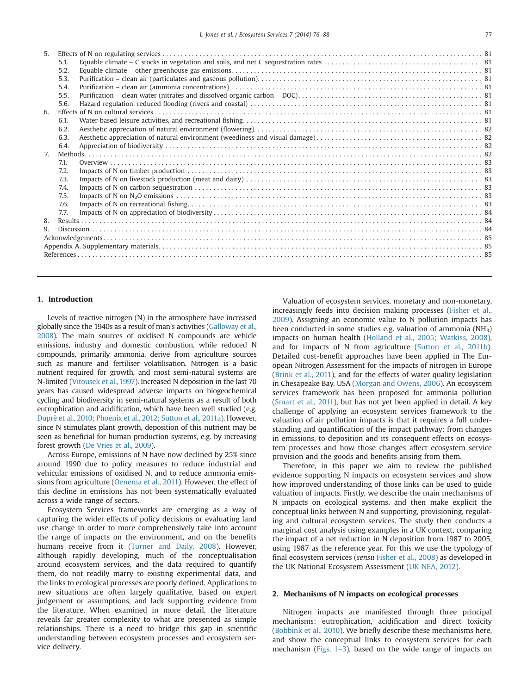| 5. |      |  |  |  |  |  |  |
|----|------|--|--|--|--|--|--|
|    | 5.1. |  |  |  |  |  |  |
|    | 5.2. |  |  |  |  |  |  |
|    | 5.3. |  |  |  |  |  |  |
|    | 5.4. |  |  |  |  |  |  |
|    | 5.5. |  |  |  |  |  |  |
|    | 5.6. |  |  |  |  |  |  |
| 6. |      |  |  |  |  |  |  |
|    | 6.1. |  |  |  |  |  |  |
|    | 6.2. |  |  |  |  |  |  |
|    | 6.3. |  |  |  |  |  |  |
|    | 6.4. |  |  |  |  |  |  |
| 7. |      |  |  |  |  |  |  |
|    | 7.1. |  |  |  |  |  |  |
|    | 7.2. |  |  |  |  |  |  |
|    | 7.3. |  |  |  |  |  |  |
|    | 7.4. |  |  |  |  |  |  |
|    | 7.5. |  |  |  |  |  |  |
|    | 7.6. |  |  |  |  |  |  |
|    | 7.7. |  |  |  |  |  |  |
| 8. |      |  |  |  |  |  |  |
| 9. |      |  |  |  |  |  |  |
|    |      |  |  |  |  |  |  |
|    |      |  |  |  |  |  |  |
|    |      |  |  |  |  |  |  |
|    |      |  |  |  |  |  |  |

### 1. Introduction

Levels of reactive nitrogen (N) in the atmosphere have increased globally since the 1940s as a result of man's activities [\(Galloway et al.,](#page-10-0) [2008](#page-10-0)). The main sources of oxidised N compounds are vehicle emissions, industry and domestic combustion, while reduced N compounds, primarily ammonia, derive from agriculture sources such as manure and fertiliser volatilisation. Nitrogen is a basic nutrient required for growth, and most semi-natural systems are N-limited [\(Vitousek et al., 1997](#page-11-0)). Increased N deposition in the last 70 years has caused widespread adverse impacts on biogeochemical cycling and biodiversity in semi-natural systems as a result of both eutrophication and acidification, which have been well studied (e.g. [Duprè et al., 2010; Phoenix et al., 2012; Sutton et al., 2011a\)](#page-11-0). However, since N stimulates plant growth, deposition of this nutrient may be seen as beneficial for human production systems, e.g. by increasing forest growth [\(De Vries et al., 2009\)](#page-10-0).

Across Europe, emissions of N have now declined by 25% since around 1990 due to policy measures to reduce industrial and vehicular emissions of oxidised N, and to reduce ammonia emissions from agriculture ([Oenema et al., 2011](#page-11-0)). However, the effect of this decline in emissions has not been systematically evaluated across a wide range of sectors.

Ecosystem Services frameworks are emerging as a way of capturing the wider effects of policy decisions or evaluating land use change in order to more comprehensively take into account the range of impacts on the environment, and on the benefits humans receive from it ([Turner and Daily, 2008](#page-11-0)). However, although rapidly developing, much of the conceptualisation around ecosystem services, and the data required to quantify them, do not readily marry to existing experimental data, and the links to ecological processes are poorly defined. Applications to new situations are often largely qualitative, based on expert judgement or assumptions, and lack supporting evidence from the literature. When examined in more detail, the literature reveals far greater complexity to what are presented as simple relationships. There is a need to bridge this gap in scientific understanding between ecosystem processes and ecosystem service delivery.

Valuation of ecosystem services, monetary and non-monetary, increasingly feeds into decision making processes [\(Fisher et al.,](#page-10-0) [2009\)](#page-10-0). Assigning an economic value to N pollution impacts has been conducted in some studies e.g. valuation of ammonia (NH<sub>3</sub>) impacts on human health [\(Holland et al., 2005; Watkiss, 2008\)](#page-12-0), and for impacts of N from agriculture [\(Sutton et al., 2011b\)](#page-11-0). Detailed cost-benefit approaches have been applied in The European Nitrogen Assessment for the impacts of nitrogen in Europe ([Brink et al., 2011](#page-9-0)), and for the effects of water quality legislation in Chesapeake Bay, USA ([Morgan and Owens, 2006](#page-11-0)). An ecosystem services framework has been proposed for ammonia pollution ([Smart et al., 2011\)](#page-11-0), but has not yet been applied in detail. A key challenge of applying an ecosystem services framework to the valuation of air pollution impacts is that it requires a full understanding and quantification of the impact pathway: from changes in emissions, to deposition and its consequent effects on ecosystem processes and how those changes affect ecosystem service provision and the goods and benefits arising from them.

Therefore, in this paper we aim to review the published evidence supporting N impacts on ecosystem services and show how improved understanding of those links can be used to guide valuation of impacts. Firstly, we describe the main mechanisms of N impacts on ecological systems, and then make explicit the conceptual links between N and supporting, provisioning, regulating and cultural ecosystem services. The study then conducts a marginal cost analysis using examples in a UK context, comparing the impact of a net reduction in N deposition from 1987 to 2005, using 1987 as the reference year. For this we use the typology of final ecosystem services (sensu [Fisher et al., 2008\)](#page-10-0) as developed in the UK National Ecosystem Assessment ([UK NEA, 2012](#page-11-0)).

### 2. Mechanisms of N impacts on ecological processes

Nitrogen impacts are manifested through three principal mechanisms: eutrophication, acidification and direct toxicity ([Bobbink et al., 2010\)](#page-9-0). We briefly describe these mechanisms here, and show the conceptual links to ecosystem services for each mechanism [\(Figs. 1](#page-3-0)–3), based on the wide range of impacts on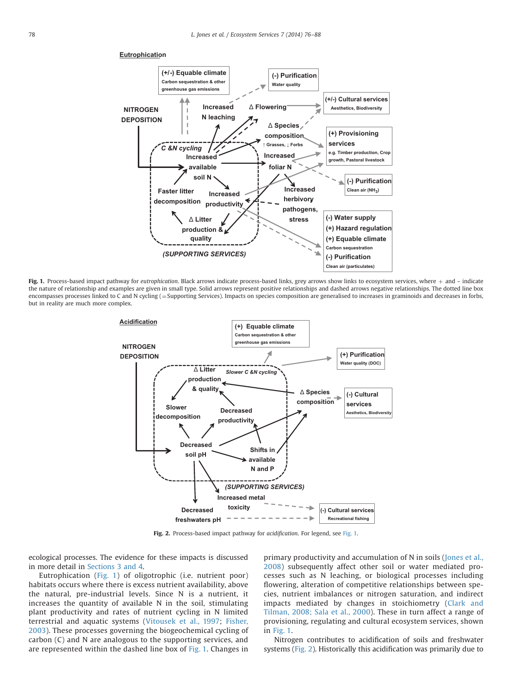

Fig. 1. Process-based impact pathway for eutrophication. Black arrows indicate process-based links, grey arrows show links to ecosystem services, where + and - indicate the nature of relationship and examples are given in small type. Solid arrows represent positive relationships and dashed arrows negative relationships. The dotted line box encompasses processes linked to C and N cycling (=Supporting Services). Impacts on species composition are generalised to increases in graminoids and decreases in forbs, but in reality are much more complex.



Fig. 2. Process-based impact pathway for acidification. For legend, see Fig. 1.

ecological processes. The evidence for these impacts is discussed in more detail in [Sections 3 and 4](#page-4-0).

Eutrophication (Fig. 1) of oligotrophic (i.e. nutrient poor) habitats occurs where there is excess nutrient availability, above the natural, pre-industrial levels. Since N is a nutrient, it increases the quantity of available N in the soil, stimulating plant productivity and rates of nutrient cycling in N limited terrestrial and aquatic systems ([Vitousek et al., 1997](#page-11-0); [Fisher,](#page-10-0) [2003\)](#page-10-0). These processes governing the biogeochemical cycling of carbon (C) and N are analogous to the supporting services, and are represented within the dashed line box of Fig. 1. Changes in primary productivity and accumulation of N in soils ([Jones et al.,](#page-10-0) [2008\)](#page-10-0) subsequently affect other soil or water mediated processes such as N leaching, or biological processes including flowering, alteration of competitive relationships between species, nutrient imbalances or nitrogen saturation, and indirect impacts mediated by changes in stoichiometry ([Clark and](#page-10-0) [Tilman, 2008; Sala et al., 2000\)](#page-11-0). These in turn affect a range of provisioning, regulating and cultural ecosystem services, shown in Fig. 1.

Nitrogen contributes to acidification of soils and freshwater systems (Fig. 2). Historically this acidification was primarily due to

<span id="page-2-0"></span>**Eutrophication**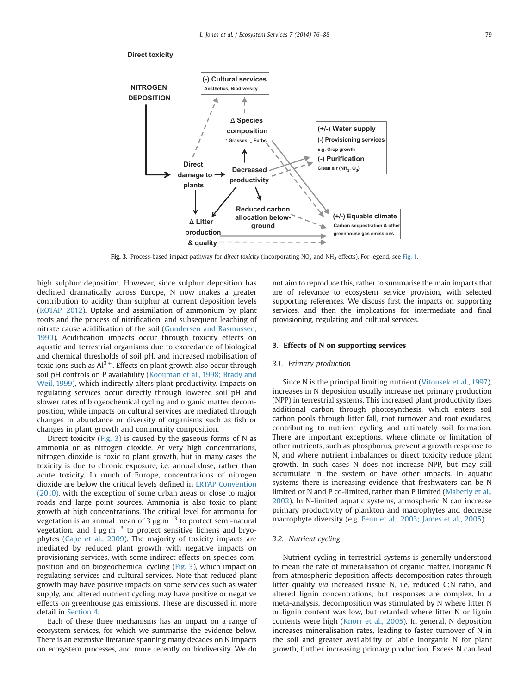<span id="page-3-0"></span>

Fig. 3. Process-based impact pathway for direct toxicity (incorporating  $NO<sub>x</sub>$  and  $NH<sub>3</sub>$  effects). For legend, see [Fig. 1.](#page-2-0)

high sulphur deposition. However, since sulphur deposition has declined dramatically across Europe, N now makes a greater contribution to acidity than sulphur at current deposition levels ([ROTAP, 2012](#page-11-0)). Uptake and assimilation of ammonium by plant roots and the process of nitrification, and subsequent leaching of nitrate cause acidification of the soil [\(Gundersen and Rasmussen,](#page-10-0) [1990](#page-10-0)). Acidification impacts occur through toxicity effects on aquatic and terrestrial organisms due to exceedance of biological and chemical thresholds of soil pH, and increased mobilisation of toxic ions such as  $Al^{3+}$ . Effects on plant growth also occur through soil pH controls on P availability ([Kooijman et al., 1998; Brady and](#page-9-0) [Weil, 1999](#page-9-0)), which indirectly alters plant productivity. Impacts on regulating services occur directly through lowered soil pH and slower rates of biogeochemical cycling and organic matter decomposition, while impacts on cultural services are mediated through changes in abundance or diversity of organisms such as fish or changes in plant growth and community composition.

Direct toxicity (Fig. 3) is caused by the gaseous forms of N as ammonia or as nitrogen dioxide. At very high concentrations, nitrogen dioxide is toxic to plant growth, but in many cases the toxicity is due to chronic exposure, i.e. annual dose, rather than acute toxicity. In much of Europe, concentrations of nitrogen dioxide are below the critical levels defined in [LRTAP Convention](#page-10-0) [\(2010\),](#page-10-0) with the exception of some urban areas or close to major roads and large point sources. Ammonia is also toxic to plant growth at high concentrations. The critical level for ammonia for vegetation is an annual mean of 3  $\mu$ g m<sup>-3</sup> to protect semi-natural vegetation, and  $1 \mu g m^{-3}$  to protect sensitive lichens and bryophytes ([Cape et al., 2009\)](#page-10-0). The majority of toxicity impacts are mediated by reduced plant growth with negative impacts on provisioning services, with some indirect effects on species composition and on biogeochemical cycling (Fig. 3), which impact on regulating services and cultural services. Note that reduced plant growth may have positive impacts on some services such as water supply, and altered nutrient cycling may have positive or negative effects on greenhouse gas emissions. These are discussed in more detail in [Section 4](#page-4-0).

Each of these three mechanisms has an impact on a range of ecosystem services, for which we summarise the evidence below. There is an extensive literature spanning many decades on N impacts on ecosystem processes, and more recently on biodiversity. We do

not aim to reproduce this, rather to summarise the main impacts that are of relevance to ecosystem service provision, with selected supporting references. We discuss first the impacts on supporting services, and then the implications for intermediate and final provisioning, regulating and cultural services.

### 3. Effects of N on supporting services

### 3.1. Primary production

Since N is the principal limiting nutrient [\(Vitousek et al., 1997\)](#page-11-0), increases in N deposition usually increase net primary production (NPP) in terrestrial systems. This increased plant productivity fixes additional carbon through photosynthesis, which enters soil carbon pools through litter fall, root turnover and root exudates, contributing to nutrient cycling and ultimately soil formation. There are important exceptions, where climate or limitation of other nutrients, such as phosphorus, prevent a growth response to N, and where nutrient imbalances or direct toxicity reduce plant growth. In such cases N does not increase NPP, but may still accumulate in the system or have other impacts. In aquatic systems there is increasing evidence that freshwaters can be N limited or N and P co-limited, rather than P limited [\(Maberly et al.,](#page-10-0) [2002\)](#page-10-0). In N-limited aquatic systems, atmospheric N can increase primary productivity of plankton and macrophytes and decrease macrophyte diversity (e.g. [Fenn et al., 2003; James et al., 2005\)](#page-10-0).

### 3.2. Nutrient cycling

Nutrient cycling in terrestrial systems is generally understood to mean the rate of mineralisation of organic matter. Inorganic N from atmospheric deposition affects decomposition rates through litter quality via increased tissue N, i.e. reduced C:N ratio, and altered lignin concentrations, but responses are complex. In a meta-analysis, decomposition was stimulated by N where litter N or lignin content was low, but retarded where litter N or lignin contents were high ([Knorr et al., 2005](#page-10-0)). In general, N deposition increases mineralisation rates, leading to faster turnover of N in the soil and greater availability of labile inorganic N for plant growth, further increasing primary production. Excess N can lead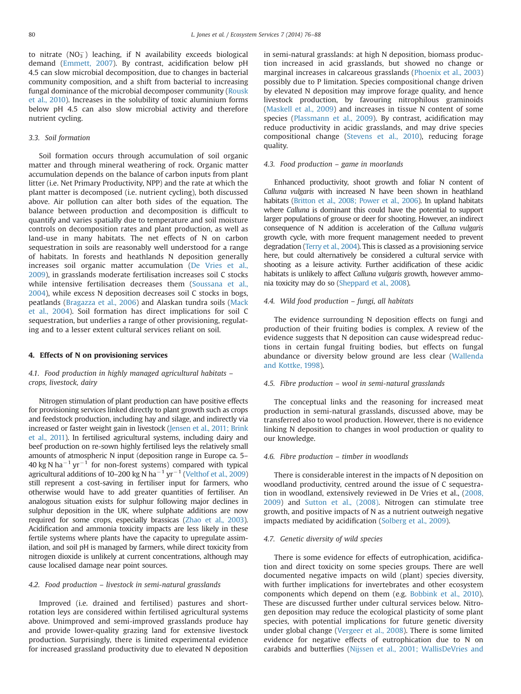<span id="page-4-0"></span>to nitrate (NO $_3^-$ ) leaching, if N availability exceeds biological demand [\(Emmett, 2007](#page-10-0)). By contrast, acidification below pH 4.5 can slow microbial decomposition, due to changes in bacterial community composition, and a shift from bacterial to increasing fungal dominance of the microbial decomposer community [\(Rousk](#page-11-0) [et al., 2010\)](#page-11-0). Increases in the solubility of toxic aluminium forms below pH 4.5 can also slow microbial activity and therefore nutrient cycling.

### 3.3. Soil formation

Soil formation occurs through accumulation of soil organic matter and through mineral weathering of rock. Organic matter accumulation depends on the balance of carbon inputs from plant litter (i.e. Net Primary Productivity, NPP) and the rate at which the plant matter is decomposed (i.e. nutrient cycling), both discussed above. Air pollution can alter both sides of the equation. The balance between production and decomposition is difficult to quantify and varies spatially due to temperature and soil moisture controls on decomposition rates and plant production, as well as land-use in many habitats. The net effects of N on carbon sequestration in soils are reasonably well understood for a range of habitats. In forests and heathlands N deposition generally increases soil organic matter accumulation [\(De Vries et al.,](#page-10-0) [2009\)](#page-10-0), in grasslands moderate fertilisation increases soil C stocks while intensive fertilisation decreases them ([Soussana et al.,](#page-11-0) [2004](#page-11-0)), while excess N deposition decreases soil C stocks in bogs, peatlands ([Bragazza et al., 2006\)](#page-9-0) and Alaskan tundra soils [\(Mack](#page-10-0) [et al., 2004](#page-10-0)). Soil formation has direct implications for soil C sequestration, but underlies a range of other provisioning, regulating and to a lesser extent cultural services reliant on soil.

### 4. Effects of N on provisioning services

# 4.1. Food production in highly managed agricultural habitats – crops, livestock, dairy

Nitrogen stimulation of plant production can have positive effects for provisioning services linked directly to plant growth such as crops and feedstock production, including hay and silage, and indirectly via increased or faster weight gain in livestock [\(Jensen et al., 2011; Brink](#page-9-0) [et al., 2011](#page-9-0)). In fertilised agricultural systems, including dairy and beef production on re-sown highly fertilised leys the relatively small amounts of atmospheric N input (deposition range in Europe ca. 5– 40 kg N ha<sup> $-1$ </sup> yr<sup> $-1$ </sup> for non-forest systems) compared with typical agricultural additions of 10–200 kg N ha<sup>-1</sup> yr<sup>-1</sup> [\(Velthof et al., 2009\)](#page-11-0) still represent a cost-saving in fertiliser input for farmers, who otherwise would have to add greater quantities of fertiliser. An analogous situation exists for sulphur following major declines in sulphur deposition in the UK, where sulphate additions are now required for some crops, especially brassicas [\(Zhao et al., 2003\)](#page-12-0). Acidification and ammonia toxicity impacts are less likely in these fertile systems where plants have the capacity to upregulate assimilation, and soil pH is managed by farmers, while direct toxicity from nitrogen dioxide is unlikely at current concentrations, although may cause localised damage near point sources.

### 4.2. Food production – livestock in semi-natural grasslands

Improved (i.e. drained and fertilised) pastures and shortrotation leys are considered within fertilised agricultural systems above. Unimproved and semi-improved grasslands produce hay and provide lower-quality grazing land for extensive livestock production. Surprisingly, there is limited experimental evidence for increased grassland productivity due to elevated N deposition in semi-natural grasslands: at high N deposition, biomass production increased in acid grasslands, but showed no change or marginal increases in calcareous grasslands ([Phoenix et al., 2003\)](#page-11-0) possibly due to P limitation. Species compositional change driven by elevated N deposition may improve forage quality, and hence livestock production, by favouring nitrophilous graminoids ([Maskell et al., 2009](#page-10-0)) and increases in tissue N content of some species [\(Plassmann et al., 2009](#page-11-0)). By contrast, acidification may reduce productivity in acidic grasslands, and may drive species compositional change ([Stevens et al., 2010](#page-11-0)), reducing forage quality.

### 4.3. Food production – game in moorlands

Enhanced productivity, shoot growth and foliar N content of Calluna vulgaris with increased N have been shown in heathland habitats [\(Britton et al., 2008; Power et al., 2006\)](#page-11-0). In upland habitats where Calluna is dominant this could have the potential to support larger populations of grouse or deer for shooting. However, an indirect consequence of N addition is acceleration of the Calluna vulgaris growth cycle, with more frequent management needed to prevent degradation [\(Terry et al., 2004](#page-11-0)). This is classed as a provisioning service here, but could alternatively be considered a cultural service with shooting as a leisure activity. Further acidification of these acidic habitats is unlikely to affect Calluna vulgaris growth, however ammonia toxicity may do so [\(Sheppard et al., 2008\)](#page-11-0).

### 4.4. Wild food production – fungi, all habitats

The evidence surrounding N deposition effects on fungi and production of their fruiting bodies is complex. A review of the evidence suggests that N deposition can cause widespread reductions in certain fungal fruiting bodies, but effects on fungal abundance or diversity below ground are less clear ([Wallenda](#page-11-0) [and Kottke, 1998\)](#page-11-0).

### 4.5. Fibre production – wool in semi-natural grasslands

The conceptual links and the reasoning for increased meat production in semi-natural grasslands, discussed above, may be transferred also to wool production. However, there is no evidence linking N deposition to changes in wool production or quality to our knowledge.

### 4.6. Fibre production – timber in woodlands

There is considerable interest in the impacts of N deposition on woodland productivity, centred around the issue of C sequestration in woodland, extensively reviewed in De Vries et al., ([2008,](#page-10-0) [2009\)](#page-10-0) and [Sutton et al., \(2008\).](#page-11-0) Nitrogen can stimulate tree growth, and positive impacts of N as a nutrient outweigh negative impacts mediated by acidification [\(Solberg et al., 2009](#page-11-0)).

### 4.7. Genetic diversity of wild species

There is some evidence for effects of eutrophication, acidification and direct toxicity on some species groups. There are well documented negative impacts on wild (plant) species diversity, with further implications for invertebrates and other ecosystem components which depend on them (e.g. [Bobbink et al., 2010\)](#page-9-0). These are discussed further under cultural services below. Nitrogen deposition may reduce the ecological plasticity of some plant species, with potential implications for future genetic diversity under global change ([Vergeer et al., 2008](#page-11-0)). There is some limited evidence for negative effects of eutrophication due to N on carabids and butterflies [\(Nijssen et al., 2001; WallisDeVries and](#page-12-0)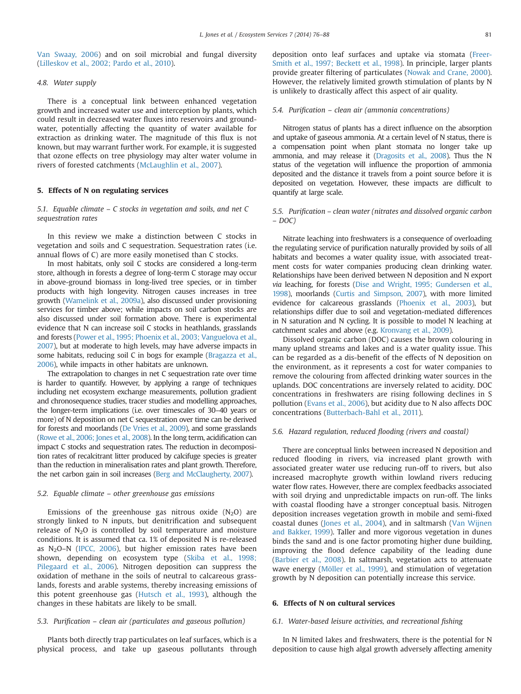[Van Swaay, 2006](#page-12-0)) and on soil microbial and fungal diversity ([Lilleskov et al., 2002; Pardo et al., 2010](#page-11-0)).

# 4.8. Water supply

There is a conceptual link between enhanced vegetation growth and increased water use and interception by plants, which could result in decreased water fluxes into reservoirs and groundwater, potentially affecting the quantity of water available for extraction as drinking water. The magnitude of this flux is not known, but may warrant further work. For example, it is suggested that ozone effects on tree physiology may alter water volume in rivers of forested catchments ([McLaughlin et al., 2007](#page-10-0)).

### 5. Effects of N on regulating services

5.1. Equable climate – C stocks in vegetation and soils, and net C sequestration rates

In this review we make a distinction between C stocks in vegetation and soils and C sequestration. Sequestration rates (i.e. annual flows of C) are more easily monetised than C stocks.

In most habitats, only soil C stocks are considered a long-term store, although in forests a degree of long-term C storage may occur in above-ground biomass in long-lived tree species, or in timber products with high longevity. Nitrogen causes increases in tree growth [\(Wamelink et al., 2009a\)](#page-12-0), also discussed under provisioning services for timber above; while impacts on soil carbon stocks are also discussed under soil formation above. There is experimental evidence that N can increase soil C stocks in heathlands, grasslands and forests [\(Power et al., 1995; Phoenix et al., 2003; Vanguelova et al.,](#page-11-0) [2007](#page-11-0)), but at moderate to high levels, may have adverse impacts in some habitats, reducing soil C in bogs for example [\(Bragazza et al.,](#page-9-0) [2006](#page-9-0)), while impacts in other habitats are unknown.

The extrapolation to changes in net C sequestration rate over time is harder to quantify. However, by applying a range of techniques including net ecosystem exchange measurements, pollution gradient and chronosequence studies, tracer studies and modelling approaches, the longer-term implications (i.e. over timescales of 30–40 years or more) of N deposition on net C sequestration over time can be derived for forests and moorlands [\(De Vries et al., 2009](#page-10-0)), and some grasslands [\(Rowe et al., 2006; Jones et al., 2008](#page-10-0)). In the long term, acidification can impact C stocks and sequestration rates. The reduction in decomposition rates of recalcitrant litter produced by calcifuge species is greater than the reduction in mineralisation rates and plant growth. Therefore, the net carbon gain in soil increases [\(Berg and McClaugherty, 2007\)](#page-9-0).

### 5.2. Equable climate – other greenhouse gas emissions

Emissions of the greenhouse gas nitrous oxide  $(N_2O)$  are strongly linked to N inputs, but denitrification and subsequent release of  $N_2O$  is controlled by soil temperature and moisture conditions. It is assumed that ca. 1% of deposited N is re-released as  $N<sub>2</sub>O-N$  ([IPCC, 2006](#page-10-0)), but higher emission rates have been shown, depending on ecosystem type ([Skiba et al., 1998;](#page-11-0) [Pilegaard et al., 2006](#page-11-0)). Nitrogen deposition can suppress the oxidation of methane in the soils of neutral to calcareous grasslands, forests and arable systems, thereby increasing emissions of this potent greenhouse gas [\(Hutsch et al., 1993\)](#page-10-0), although the changes in these habitats are likely to be small.

### 5.3. Purification – clean air (particulates and gaseous pollution)

Plants both directly trap particulates on leaf surfaces, which is a physical process, and take up gaseous pollutants through

deposition onto leaf surfaces and uptake via stomata [\(Freer-](#page-10-0)[Smith et al., 1997; Beckett et al., 1998](#page-9-0)). In principle, larger plants provide greater filtering of particulates ([Nowak and Crane, 2000\)](#page-11-0). However, the relatively limited growth stimulation of plants by N is unlikely to drastically affect this aspect of air quality.

#### 5.4. Purification – clean air (ammonia concentrations)

Nitrogen status of plants has a direct influence on the absorption and uptake of gaseous ammonia. At a certain level of N status, there is a compensation point when plant stomata no longer take up ammonia, and may release it [\(Dragosits et al., 2008](#page-10-0)). Thus the N status of the vegetation will influence the proportion of ammonia deposited and the distance it travels from a point source before it is deposited on vegetation. However, these impacts are difficult to quantify at large scale.

# 5.5. Purification – clean water (nitrates and dissolved organic carbon  $-DOC$

Nitrate leaching into freshwaters is a consequence of overloading the regulating service of purification naturally provided by soils of all habitats and becomes a water quality issue, with associated treatment costs for water companies producing clean drinking water. Relationships have been derived between N deposition and N export via leaching, for forests [\(Dise and Wright, 1995; Gundersen et al.,](#page-10-0) [1998](#page-10-0)), moorlands [\(Curtis and Simpson, 2007](#page-10-0)), with more limited evidence for calcareous grasslands ([Phoenix et al., 2003\)](#page-11-0), but relationships differ due to soil and vegetation-mediated differences in N saturation and N cycling. It is possible to model N leaching at catchment scales and above (e.g. [Kronvang et al., 2009\)](#page-10-0).

Dissolved organic carbon (DOC) causes the brown colouring in many upland streams and lakes and is a water quality issue. This can be regarded as a dis-benefit of the effects of N deposition on the environment, as it represents a cost for water companies to remove the colouring from affected drinking water sources in the uplands. DOC concentrations are inversely related to acidity. DOC concentrations in freshwaters are rising following declines in S pollution [\(Evans et al., 2006](#page-10-0)), but acidity due to N also affects DOC concentrations [\(Butterbach-Bahl et al., 2011\)](#page-10-0).

### 5.6. Hazard regulation, reduced flooding (rivers and coastal)

There are conceptual links between increased N deposition and reduced flooding in rivers, via increased plant growth with associated greater water use reducing run-off to rivers, but also increased macrophyte growth within lowland rivers reducing water flow rates. However, there are complex feedbacks associated with soil drying and unpredictable impacts on run-off. The links with coastal flooding have a stronger conceptual basis. Nitrogen deposition increases vegetation growth in mobile and semi-fixed coastal dunes ([Jones et al., 2004](#page-10-0)), and in saltmarsh ([Van Wijnen](#page-11-0) [and Bakker, 1999\)](#page-11-0). Taller and more vigorous vegetation in dunes binds the sand and is one factor promoting higher dune building, improving the flood defence capability of the leading dune ([Barbier et al., 2008](#page-9-0)). In saltmarsh, vegetation acts to attenuate wave energy [\(Möller et al., 1999\)](#page-11-0), and stimulation of vegetation growth by N deposition can potentially increase this service.

#### 6. Effects of N on cultural services

### 6.1. Water-based leisure activities, and recreational fishing

In N limited lakes and freshwaters, there is the potential for N deposition to cause high algal growth adversely affecting amenity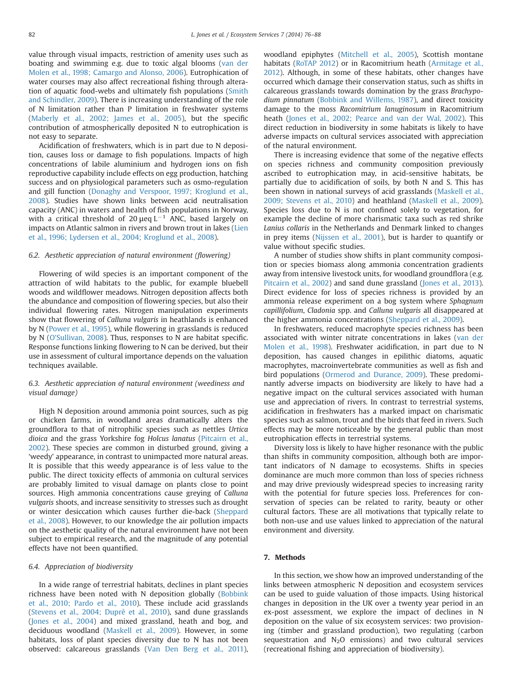value through visual impacts, restriction of amenity uses such as boating and swimming e.g. due to toxic algal blooms ([van der](#page-11-0) [Molen et al., 1998; Camargo and Alonso, 2006\)](#page-10-0). Eutrophication of water courses may also affect recreational fishing through alteration of aquatic food-webs and ultimately fish populations [\(Smith](#page-11-0) [and Schindler, 2009\)](#page-11-0). There is increasing understanding of the role of N limitation rather than P limitation in freshwater systems ([Maberly et al., 2002; James et al., 2005\)](#page-10-0), but the specific contribution of atmospherically deposited N to eutrophication is not easy to separate.

Acidification of freshwaters, which is in part due to N deposition, causes loss or damage to fish populations. Impacts of high concentrations of labile aluminium and hydrogen ions on fish reproductive capability include effects on egg production, hatching success and on physiological parameters such as osmo-regulation and gill function [\(Donaghy and Verspoor, 1997; Kroglund et al.,](#page-10-0) [2008\)](#page-10-0). Studies have shown links between acid neutralisation capacity (ANC) in waters and health of fish populations in Norway, with a critical threshold of 20  $\mu$ eq L<sup>-1</sup> ANC, based largely on impacts on Atlantic salmon in rivers and brown trout in lakes ([Lien](#page-10-0) [et al., 1996; Lydersen et al., 2004; Kroglund et al., 2008](#page-10-0)).

### 6.2. Aesthetic appreciation of natural environment (flowering)

Flowering of wild species is an important component of the attraction of wild habitats to the public, for example bluebell woods and wildflower meadows. Nitrogen deposition affects both the abundance and composition of flowering species, but also their individual flowering rates. Nitrogen manipulation experiments show that flowering of Calluna vulgaris in heathlands is enhanced by N ([Power et al., 1995\)](#page-11-0), while flowering in grasslands is reduced by N ([O'Sullivan, 2008\)](#page-11-0). Thus, responses to N are habitat specific. Response functions linking flowering to N can be derived, but their use in assessment of cultural importance depends on the valuation techniques available.

### 6.3. Aesthetic appreciation of natural environment (weediness and visual damage)

High N deposition around ammonia point sources, such as pig or chicken farms, in woodland areas dramatically alters the groundflora to that of nitrophilic species such as nettles Urtica dioica and the grass Yorkshire fog Holcus lanatus ([Pitcairn et al.,](#page-11-0) [2002\)](#page-11-0). These species are common in disturbed ground, giving a 'weedy' appearance, in contrast to unimpacted more natural areas. It is possible that this weedy appearance is of less value to the public. The direct toxicity effects of ammonia on cultural services are probably limited to visual damage on plants close to point sources. High ammonia concentrations cause greying of Calluna vulgaris shoots, and increase sensitivity to stresses such as drought or winter desiccation which causes further die-back ([Sheppard](#page-11-0) [et al., 2008\)](#page-11-0). However, to our knowledge the air pollution impacts on the aesthetic quality of the natural environment have not been subject to empirical research, and the magnitude of any potential effects have not been quantified.

### 6.4. Appreciation of biodiversity

In a wide range of terrestrial habitats, declines in plant species richness have been noted with N deposition globally ([Bobbink](#page-9-0) [et al., 2010; Pardo et al., 2010](#page-11-0)). These include acid grasslands ([Stevens et al., 2004; Duprè et al., 2010\)](#page-10-0), sand dune grasslands ([Jones et al., 2004\)](#page-10-0) and mixed grassland, heath and bog, and deciduous woodland [\(Maskell et al., 2009\)](#page-10-0). However, in some habitats, loss of plant species diversity due to N has not been observed: calcareous grasslands ([Van Den Berg et al., 2011\)](#page-11-0), woodland epiphytes ([Mitchell et al., 2005\)](#page-11-0), Scottish montane habitats [\(RoTAP 2012\)](#page-11-0) or in Racomitrium heath [\(Armitage et al.,](#page-9-0) [2012](#page-9-0)). Although, in some of these habitats, other changes have occurred which damage their conservation status, such as shifts in calcareous grasslands towards domination by the grass Brachypodium pinnatum ([Bobbink and Willems, 1987\)](#page-9-0), and direct toxicity damage to the moss Racomitrium lanuginosum in Racomitrium heath [\(Jones et al., 2002; Pearce and van der Wal, 2002](#page-11-0)). This direct reduction in biodiversity in some habitats is likely to have adverse impacts on cultural services associated with appreciation of the natural environment.

There is increasing evidence that some of the negative effects on species richness and community composition previously ascribed to eutrophication may, in acid-sensitive habitats, be partially due to acidification of soils, by both N and S. This has been shown in national surveys of acid grasslands [\(Maskell et al.,](#page-10-0) [2009; Stevens et al., 2010](#page-11-0)) and heathland [\(Maskell et al., 2009\)](#page-10-0). Species loss due to N is not confined solely to vegetation, for example the decline of more charismatic taxa such as red shrike Lanius collaris in the Netherlands and Denmark linked to changes in prey items ([Nijssen et al., 2001](#page-11-0)), but is harder to quantify or value without specific studies.

A number of studies show shifts in plant community composition or species biomass along ammonia concentration gradients away from intensive livestock units, for woodland groundflora (e.g. [Pitcairn et al., 2002](#page-11-0)) and sand dune grassland [\(Jones et al., 2013\)](#page-10-0). Direct evidence for loss of species richness is provided by an ammonia release experiment on a bog system where Sphagnum capillifolium, Cladonia spp. and Calluna vulgaris all disappeared at the higher ammonia concentrations ([Sheppard et al., 2009\)](#page-11-0).

In freshwaters, reduced macrophyte species richness has been associated with winter nitrate concentrations in lakes ([van der](#page-11-0) [Molen et al., 1998](#page-11-0)). Freshwater acidification, in part due to N deposition, has caused changes in epilithic diatoms, aquatic macrophytes, macroinvertebrate communities as well as fish and bird populations ([Ormerod and Durance, 2009](#page-11-0)). These predominantly adverse impacts on biodiversity are likely to have had a negative impact on the cultural services associated with human use and appreciation of rivers. In contrast to terrestrial systems, acidification in freshwaters has a marked impact on charismatic species such as salmon, trout and the birds that feed in rivers. Such effects may be more noticeable by the general public than most eutrophication effects in terrestrial systems.

Diversity loss is likely to have higher resonance with the public than shifts in community composition, although both are important indicators of N damage to ecosystems. Shifts in species dominance are much more common than loss of species richness and may drive previously widespread species to increasing rarity with the potential for future species loss. Preferences for conservation of species can be related to rarity, beauty or other cultural factors. These are all motivations that typically relate to both non-use and use values linked to appreciation of the natural environment and diversity.

### 7. Methods

In this section, we show how an improved understanding of the links between atmospheric N deposition and ecosystem services can be used to guide valuation of those impacts. Using historical changes in deposition in the UK over a twenty year period in an ex-post assessment, we explore the impact of declines in N deposition on the value of six ecosystem services: two provisioning (timber and grassland production), two regulating (carbon sequestration and  $N_2O$  emissions) and two cultural services (recreational fishing and appreciation of biodiversity).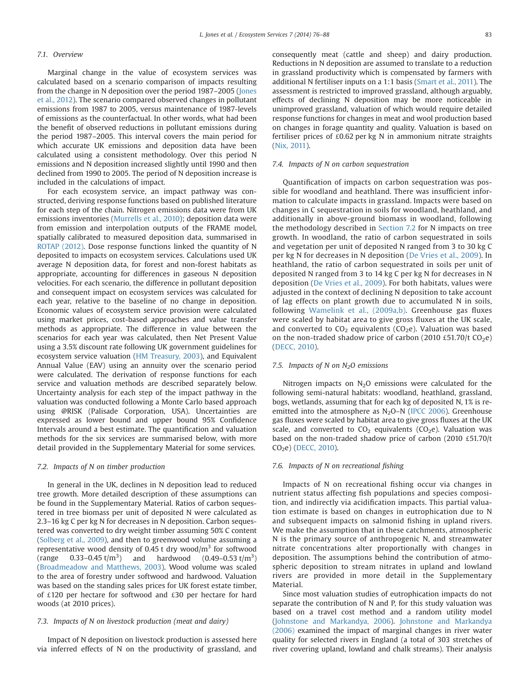# 7.1. Overview

Marginal change in the value of ecosystem services was calculated based on a scenario comparison of impacts resulting from the change in N deposition over the period 1987–2005 [\(Jones](#page-10-0) [et al., 2012](#page-10-0)). The scenario compared observed changes in pollutant emissions from 1987 to 2005, versus maintenance of 1987-levels of emissions as the counterfactual. In other words, what had been the benefit of observed reductions in pollutant emissions during the period 1987–2005. This interval covers the main period for which accurate UK emissions and deposition data have been calculated using a consistent methodology. Over this period N emissions and N deposition increased slightly until 1990 and then declined from 1990 to 2005. The period of N deposition increase is included in the calculations of impact.

For each ecosystem service, an impact pathway was constructed, deriving response functions based on published literature for each step of the chain. Nitrogen emissions data were from UK emissions inventories [\(Murrells et al., 2010](#page-11-0)); deposition data were from emission and interpolation outputs of the FRAME model, spatially calibrated to measured deposition data, summarised in [ROTAP \(2012\).](#page-11-0) Dose response functions linked the quantity of N deposited to impacts on ecosystem services. Calculations used UK average N deposition data, for forest and non-forest habitats as appropriate, accounting for differences in gaseous N deposition velocities. For each scenario, the difference in pollutant deposition and consequent impact on ecosystem services was calculated for each year, relative to the baseline of no change in deposition. Economic values of ecosystem service provision were calculated using market prices, cost-based approaches and value transfer methods as appropriate. The difference in value between the scenarios for each year was calculated, then Net Present Value using a 3.5% discount rate following UK government guidelines for ecosystem service valuation [\(HM Treasury, 2003\)](#page-10-0), and Equivalent Annual Value (EAV) using an annuity over the scenario period were calculated. The derivation of response functions for each service and valuation methods are described separately below. Uncertainty analysis for each step of the impact pathway in the valuation was conducted following a Monte Carlo based approach using @RISK (Palisade Corporation, USA). Uncertainties are expressed as lower bound and upper bound 95% Confidence Intervals around a best estimate. The quantification and valuation methods for the six services are summarised below, with more detail provided in the Supplementary Material for some services.

### 7.2. Impacts of N on timber production

In general in the UK, declines in N deposition lead to reduced tree growth. More detailed description of these assumptions can be found in the Supplementary Material. Ratios of carbon sequestered in tree biomass per unit of deposited N were calculated as 2.3–16 kg C per kg N for decreases in N deposition. Carbon sequestered was converted to dry weight timber assuming 50% C content ([Solberg et al., 2009](#page-11-0)), and then to greenwood volume assuming a representative wood density of 0.45 t dry wood/ $m<sup>3</sup>$  for softwood  $(range = 0.33 - 0.45 t/m<sup>3</sup>)$ ) and hardwood  $(0.49 - 0.53 \text{ t/m}^3)$ ([Broadmeadow and Matthews, 2003\)](#page-10-0). Wood volume was scaled to the area of forestry under softwood and hardwood. Valuation was based on the standing sales prices for UK forest estate timber, of  $£120$  per hectare for softwood and  $£30$  per hectare for hard woods (at 2010 prices).

### 7.3. Impacts of N on livestock production (meat and dairy)

Impact of N deposition on livestock production is assessed here via inferred effects of N on the productivity of grassland, and consequently meat (cattle and sheep) and dairy production. Reductions in N deposition are assumed to translate to a reduction in grassland productivity which is compensated by farmers with additional N fertiliser inputs on a 1:1 basis ([Smart et al., 2011\)](#page-11-0). The assessment is restricted to improved grassland, although arguably, effects of declining N deposition may be more noticeable in unimproved grassland, valuation of which would require detailed response functions for changes in meat and wool production based on changes in forage quantity and quality. Valuation is based on fertiliser prices of  $\text{\pounds}0.62$  per kg N in ammonium nitrate straights ([Nix, 2011](#page-11-0)).

#### 7.4. Impacts of N on carbon sequestration

Quantification of impacts on carbon sequestration was possible for woodland and heathland. There was insufficient information to calculate impacts in grassland. Impacts were based on changes in C sequestration in soils for woodland, heathland, and additionally in above-ground biomass in woodland, following the methodology described in Section 7.2 for N impacts on tree growth. In woodland, the ratio of carbon sequestrated in soils and vegetation per unit of deposited N ranged from 3 to 30 kg C per kg N for decreases in N deposition ([De Vries et al., 2009](#page-10-0)). In heathland, the ratio of carbon sequestrated in soils per unit of deposited N ranged from 3 to 14 kg C per kg N for decreases in N deposition ([De Vries et al., 2009](#page-10-0)). For both habitats, values were adjusted in the context of declining N deposition to take account of lag effects on plant growth due to accumulated N in soils, following [Wamelink et al., \(2009a,b\).](#page-12-0) Greenhouse gas fluxes were scaled by habitat area to give gross fluxes at the UK scale, and converted to  $CO<sub>2</sub>$  equivalents ( $CO<sub>2</sub>e$ ). Valuation was based on the non-traded shadow price of carbon (2010 £51.70/t  $CO<sub>2</sub>e$ ) ([DECC, 2010](#page-10-0)).

### 7.5. Impacts of N on  $N_2O$  emissions

Nitrogen impacts on  $N_2O$  emissions were calculated for the following semi-natural habitats: woodland, heathland, grassland, bogs, wetlands, assuming that for each kg of deposited N, 1% is reemitted into the atmosphere as  $N_2O-N$  ([IPCC 2006](#page-10-0)). Greenhouse gas fluxes were scaled by habitat area to give gross fluxes at the UK scale, and converted to  $CO<sub>2</sub>$  equivalents ( $CO<sub>2</sub>e$ ). Valuation was based on the non-traded shadow price of carbon (2010 £51.70/t CO2e) ([DECC, 2010](#page-10-0)).

### 7.6. Impacts of N on recreational fishing

Impacts of N on recreational fishing occur via changes in nutrient status affecting fish populations and species composition, and indirectly via acidification impacts. This partial valuation estimate is based on changes in eutrophication due to N and subsequent impacts on salmonid fishing in upland rivers. We make the assumption that in these catchments, atmospheric N is the primary source of anthropogenic N, and streamwater nitrate concentrations alter proportionally with changes in deposition. The assumptions behind the contribution of atmospheric deposition to stream nitrates in upland and lowland rivers are provided in more detail in the Supplementary Material.

Since most valuation studies of eutrophication impacts do not separate the contribution of N and P, for this study valuation was based on a travel cost method and a random utility model ([Johnstone and Markandya, 2006\)](#page-10-0). [Johnstone and Markandya](#page-10-0) [\(2006\)](#page-10-0) examined the impact of marginal changes in river water quality for selected rivers in England (a total of 303 stretches of river covering upland, lowland and chalk streams). Their analysis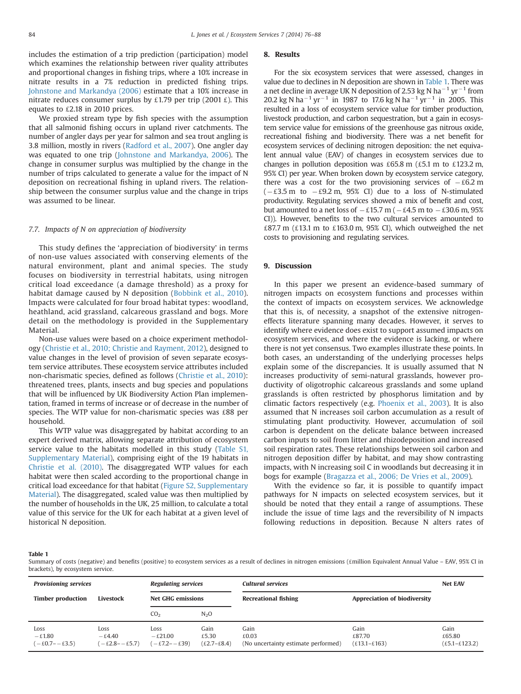includes the estimation of a trip prediction (participation) model which examines the relationship between river quality attributes and proportional changes in fishing trips, where a 10% increase in nitrate results in a 7% reduction in predicted fishing trips. [Johnstone and Markandya \(2006\)](#page-10-0) estimate that a 10% increase in nitrate reduces consumer surplus by £1.79 per trip (2001 £). This equates to  $£2.18$  in 2010 prices.

We proxied stream type by fish species with the assumption that all salmonid fishing occurs in upland river catchments. The number of angler days per year for salmon and sea trout angling is 3.8 million, mostly in rivers ([Radford et al., 2007](#page-11-0)). One angler day was equated to one trip ([Johnstone and Markandya, 2006](#page-10-0)). The change in consumer surplus was multiplied by the change in the number of trips calculated to generate a value for the impact of N deposition on recreational fishing in upland rivers. The relationship between the consumer surplus value and the change in trips was assumed to be linear.

### 7.7. Impacts of N on appreciation of biodiversity

This study defines the 'appreciation of biodiversity' in terms of non-use values associated with conserving elements of the natural environment, plant and animal species. The study focuses on biodiversity in terrestrial habitats, using nitrogen critical load exceedance (a damage threshold) as a proxy for habitat damage caused by N deposition ([Bobbink et al., 2010\)](#page-9-0). Impacts were calculated for four broad habitat types: woodland, heathland, acid grassland, calcareous grassland and bogs. More detail on the methodology is provided in the Supplementary Material.

Non-use values were based on a choice experiment methodology ([Christie et al., 2010; Christie and Rayment, 2012\)](#page-10-0), designed to value changes in the level of provision of seven separate ecosystem service attributes. These ecosystem service attributes included non-charismatic species, defined as follows [\(Christie et al., 2010\)](#page-10-0): threatened trees, plants, insects and bug species and populations that will be influenced by UK Biodiversity Action Plan implementation, framed in terms of increase or of decrease in the number of species. The WTP value for non-charismatic species was  $£88$  per household.

This WTP value was disaggregated by habitat according to an expert derived matrix, allowing separate attribution of ecosystem service value to the habitats modelled in this study [\(Table S1,](#page-9-0) [Supplementary Material\)](#page-9-0), comprising eight of the 19 habitats in [Christie et al. \(2010\)](#page-10-0). The disaggregated WTP values for each habitat were then scaled according to the proportional change in critical load exceedance for that habitat ([Figure S2, Supplementary](#page-9-0) [Material](#page-9-0)). The disaggregated, scaled value was then multiplied by the number of households in the UK, 25 million, to calculate a total value of this service for the UK for each habitat at a given level of historical N deposition.

### 8. Results

For the six ecosystem services that were assessed, changes in value due to declines in N deposition are shown in Table 1. There was a net decline in average UK N deposition of 2.53 kg N ha<sup>-1</sup> yr<sup>-1</sup> from 20.2 kg N ha<sup>-1</sup> yr<sup>-1</sup> in 1987 to 17.6 kg N ha<sup>-1</sup> yr<sup>-1</sup> in 2005. This resulted in a loss of ecosystem service value for timber production, livestock production, and carbon sequestration, but a gain in ecosystem service value for emissions of the greenhouse gas nitrous oxide, recreational fishing and biodiversity. There was a net benefit for ecosystem services of declining nitrogen deposition: the net equivalent annual value (EAV) of changes in ecosystem services due to changes in pollution deposition was £65.8 m (£5.1 m to £123.2 m, 95% CI) per year. When broken down by ecosystem service category, there was a cost for the two provisioning services of  $-\text{\pounds}6.2 \text{ m}$  $(-\text{\pounds}3.5 \text{ m to } -\text{\pounds}9.2 \text{ m}, 95\% \text{ Cl})$  due to a loss of N-stimulated productivity. Regulating services showed a mix of benefit and cost, but amounted to a net loss of  $-\text{\pounds}15.7$  m ( $-\text{\pounds}4.5$  m to  $-\text{\pounds}30.6$  m, 95% CI)). However, benefits to the two cultural services amounted to  $\text{\pounds}87.7 \text{ m}$  ( $\text{\pounds}13.1 \text{ m}$  to  $\text{\pounds}163.0 \text{ m}$ , 95% CI), which outweighed the net costs to provisioning and regulating services.

## 9. Discussion

In this paper we present an evidence-based summary of nitrogen impacts on ecosystem functions and processes within the context of impacts on ecosystem services. We acknowledge that this is, of necessity, a snapshot of the extensive nitrogeneffects literature spanning many decades. However, it serves to identify where evidence does exist to support assumed impacts on ecosystem services, and where the evidence is lacking, or where there is not yet consensus. Two examples illustrate these points. In both cases, an understanding of the underlying processes helps explain some of the discrepancies. It is usually assumed that N increases productivity of semi-natural grasslands, however productivity of oligotrophic calcareous grasslands and some upland grasslands is often restricted by phosphorus limitation and by climatic factors respectively (e.g. [Phoenix et al., 2003\)](#page-11-0). It is also assumed that N increases soil carbon accumulation as a result of stimulating plant productivity. However, accumulation of soil carbon is dependent on the delicate balance between increased carbon inputs to soil from litter and rhizodeposition and increased soil respiration rates. These relationships between soil carbon and nitrogen deposition differ by habitat, and may show contrasting impacts, with N increasing soil C in woodlands but decreasing it in bogs for example [\(Bragazza et al., 2006; De Vries et al., 2009\)](#page-10-0).

With the evidence so far, it is possible to quantify impact pathways for N impacts on selected ecosystem services, but it should be noted that they entail a range of assumptions. These include the issue of time lags and the reversibility of N impacts following reductions in deposition. Because N alters rates of

Table 1

Summary of costs (negative) and benefits (positive) to ecosystem services as a result of declines in nitrogen emissions (£million Equivalent Annual Value - EAV, 95% Cl in brackets), by ecosystem service.

| <b>Provisioning services</b>                                    |                                       | <b>Regulating services</b>            |                                  | Cultural services                                    |                                     | <b>Net EAV</b>                      |
|-----------------------------------------------------------------|---------------------------------------|---------------------------------------|----------------------------------|------------------------------------------------------|-------------------------------------|-------------------------------------|
| <b>Timber production</b>                                        | Livestock                             | <b>Net GHG emissions</b>              |                                  | <b>Recreational fishing</b>                          | <b>Appreciation of biodiversity</b> |                                     |
|                                                                 |                                       | CO <sub>2</sub>                       | N <sub>2</sub> O                 |                                                      |                                     |                                     |
| Loss<br>$-£1.80$<br>$(-\text{\pounds}0.7 - -\text{\pounds}3.5)$ | Loss<br>$-£4.40$<br>$(-£2.8 - -£5.7)$ | Loss<br>$-£21.00$<br>$(-1.72 - 1.39)$ | Gain<br>£5.30<br>$(E2.7 - E8.4)$ | Gain<br>£0.03<br>(No uncertainty estimate performed) | Gain<br>£87.70<br>$(f.13.1-f.163)$  | Gain<br>£65.80<br>$(E5.1 - E123.2)$ |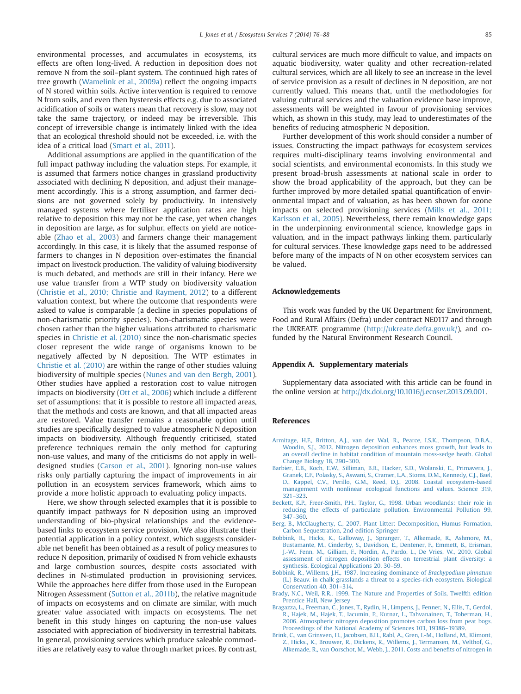<span id="page-9-0"></span>environmental processes, and accumulates in ecosystems, its effects are often long-lived. A reduction in deposition does not remove N from the soil–plant system. The continued high rates of tree growth ([Wamelink et al., 2009a](#page-12-0)) reflect the ongoing impacts of N stored within soils. Active intervention is required to remove N from soils, and even then hysteresis effects e.g. due to associated acidification of soils or waters mean that recovery is slow, may not take the same trajectory, or indeed may be irreversible. This concept of irreversible change is intimately linked with the idea that an ecological threshold should not be exceeded, i.e. with the idea of a critical load ([Smart et al., 2011](#page-11-0)).

Additional assumptions are applied in the quantification of the full impact pathway including the valuation steps. For example, it is assumed that farmers notice changes in grassland productivity associated with declining N deposition, and adjust their management accordingly. This is a strong assumption, and farmer decisions are not governed solely by productivity. In intensively managed systems where fertiliser application rates are high relative to deposition this may not be the case, yet when changes in deposition are large, as for sulphur, effects on yield are noticeable [\(Zhao et al., 2003\)](#page-12-0) and farmers change their management accordingly. In this case, it is likely that the assumed response of farmers to changes in N deposition over-estimates the financial impact on livestock production. The validity of valuing biodiversity is much debated, and methods are still in their infancy. Here we use value transfer from a WTP study on biodiversity valuation ([Christie et al., 2010; Christie and Rayment, 2012\)](#page-10-0) to a different valuation context, but where the outcome that respondents were asked to value is comparable (a decline in species populations of non-charismatic priority species). Non-charismatic species were chosen rather than the higher valuations attributed to charismatic species in [Christie et al. \(2010\)](#page-10-0) since the non-charismatic species closer represent the wide range of organisms known to be negatively affected by N deposition. The WTP estimates in [Christie et al. \(2010\)](#page-10-0) are within the range of other studies valuing biodiversity of multiple species [\(Nunes and van den Bergh, 2001\)](#page-11-0). Other studies have applied a restoration cost to value nitrogen impacts on biodiversity ([Ott et al., 2006\)](#page-11-0) which include a different set of assumptions: that it is possible to restore all impacted areas, that the methods and costs are known, and that all impacted areas are restored. Value transfer remains a reasonable option until studies are specifically designed to value atmospheric N deposition impacts on biodiversity. Although frequently criticised, stated preference techniques remain the only method for capturing non-use values, and many of the criticisms do not apply in welldesigned studies ([Carson et al., 2001\)](#page-10-0). Ignoring non-use values risks only partially capturing the impact of improvements in air pollution in an ecosystem services framework, which aims to provide a more holistic approach to evaluating policy impacts.

Here, we show through selected examples that it is possible to quantify impact pathways for N deposition using an improved understanding of bio-physical relationships and the evidencebased links to ecosystem service provision. We also illustrate their potential application in a policy context, which suggests considerable net benefit has been obtained as a result of policy measures to reduce N deposition, primarily of oxidised N from vehicle exhausts and large combustion sources, despite costs associated with declines in N-stimulated production in provisioning services. While the approaches here differ from those used in the European Nitrogen Assessment ([Sutton et al., 2011b\)](#page-11-0), the relative magnitude of impacts on ecosystems and on climate are similar, with much greater value associated with impacts on ecosystems. The net benefit in this study hinges on capturing the non-use values associated with appreciation of biodiversity in terrestrial habitats. In general, provisioning services which produce saleable commodities are relatively easy to value through market prices. By contrast, cultural services are much more difficult to value, and impacts on aquatic biodiversity, water quality and other recreation-related cultural services, which are all likely to see an increase in the level of service provision as a result of declines in N deposition, are not currently valued. This means that, until the methodologies for valuing cultural services and the valuation evidence base improve, assessments will be weighted in favour of provisioning services which, as shown in this study, may lead to underestimates of the benefits of reducing atmospheric N deposition.

Further development of this work should consider a number of issues. Constructing the impact pathways for ecosystem services requires multi-disciplinary teams involving environmental and social scientists, and environmental economists. In this study we present broad-brush assessments at national scale in order to show the broad applicability of the approach, but they can be further improved by more detailed spatial quantification of environmental impact and of valuation, as has been shown for ozone impacts on selected provisioning services [\(Mills et al., 2011;](#page-11-0) [Karlsson et al., 2005\)](#page-10-0). Nevertheless, there remain knowledge gaps in the underpinning environmental science, knowledge gaps in valuation, and in the impact pathways linking them, particularly for cultural services. These knowledge gaps need to be addressed before many of the impacts of N on other ecosystem services can be valued.

### Acknowledgements

This work was funded by the UK Department for Environment, Food and Rural Affairs (Defra) under contract NE0117 and through the UKREATE programme [\(http://ukreate.defra.gov.uk/](http://ukreate.defra.gov.uk/)), and cofunded by the Natural Environment Research Council.

#### Appendix A. Supplementary materials

Supplementary data associated with this article can be found in the online version at <http://dx.doi.org/10.1016/j.ecoser.2013.09.001>.

#### References

- [Armitage, H.F., Britton, A.J., van der Wal, R., Pearce, I.S.K., Thompson, D.B.A.,](http://refhub.elsevier.com/S2212-0416(13)00060-0/sbref1) [Woodin, S.J., 2012. Nitrogen deposition enhances moss growth, but leads to](http://refhub.elsevier.com/S2212-0416(13)00060-0/sbref1) [an overall decline in habitat condition of mountain moss-sedge heath. Global](http://refhub.elsevier.com/S2212-0416(13)00060-0/sbref1) [Change Biology 18, 290](http://refhub.elsevier.com/S2212-0416(13)00060-0/sbref1)–300.
- [Barbier, E.B., Koch, E.W., Silliman, B.R., Hacker, S.D., Wolanski, E., Primavera, J.,](http://refhub.elsevier.com/S2212-0416(13)00060-0/sbref2) [Granek, E.F., Polasky, S., Aswani, S., Cramer, L.A., Stoms, D.M., Kennedy, C.J., Bael,](http://refhub.elsevier.com/S2212-0416(13)00060-0/sbref2) [D., Kappel, C.V., Perillo, G.M., Reed, D.J., 2008. Coastal ecosystem-based](http://refhub.elsevier.com/S2212-0416(13)00060-0/sbref2) [management with nonlinear ecological functions and values. Science 319,](http://refhub.elsevier.com/S2212-0416(13)00060-0/sbref2) 321–[323.](http://refhub.elsevier.com/S2212-0416(13)00060-0/sbref2)
- [Beckett, K.P., Freer-Smith, P.H., Taylor, G., 1998. Urban woodlands: their role in](http://refhub.elsevier.com/S2212-0416(13)00060-0/sbref3) [reducing the effects of particulate pollution. Environmental Pollution 99,](http://refhub.elsevier.com/S2212-0416(13)00060-0/sbref3) 347–[360.](http://refhub.elsevier.com/S2212-0416(13)00060-0/sbref3)
- [Berg, B., McClaugherty, C., 2007. Plant Litter: Decomposition, Humus Formation,](http://refhub.elsevier.com/S2212-0416(13)00060-0/sbref4) [Carbon Sequestration, 2nd edition Springer](http://refhub.elsevier.com/S2212-0416(13)00060-0/sbref4)
- [Bobbink, R., Hicks, K., Galloway, J., Spranger, T., Alkemade, R., Ashmore, M.,](http://refhub.elsevier.com/S2212-0416(13)00060-0/sbref6) [Bustamante, M., Cinderby, S., Davidson, E., Dentener, F., Emmett, B., Erisman,](http://refhub.elsevier.com/S2212-0416(13)00060-0/sbref6) [J.-W., Fenn, M., Gilliam, F., Nordin, A., Pardo, L., De Vries, W., 2010. Global](http://refhub.elsevier.com/S2212-0416(13)00060-0/sbref6) [assessment of nitrogen deposition effects on terrestrial plant diversity: a](http://refhub.elsevier.com/S2212-0416(13)00060-0/sbref6) [synthesis. Ecological Applications 20, 30](http://refhub.elsevier.com/S2212-0416(13)00060-0/sbref6)–59.
- [Bobbink, R., Willems, J.H., 1987. Increasing dominance of](http://refhub.elsevier.com/S2212-0416(13)00060-0/sbref7) Brachypodium pinnatum [\(L.\) Beauv. in chalk grasslands a threat to a species-rich ecosystem. Biological](http://refhub.elsevier.com/S2212-0416(13)00060-0/sbref7) [Conservation 40, 301](http://refhub.elsevier.com/S2212-0416(13)00060-0/sbref7)–314.
- [Brady, N.C., Weil, R.R., 1999. The Nature and Properties of Soils, Twelfth edition](http://refhub.elsevier.com/S2212-0416(13)00060-0/sbref9) [Prentice Hall, New Jersey](http://refhub.elsevier.com/S2212-0416(13)00060-0/sbref9)
- [Bragazza, L., Freeman, C., Jones, T., Rydin, H., Limpens, J., Fenner, N., Ellis, T., Gerdol,](http://refhub.elsevier.com/S2212-0416(13)00060-0/sbref10) [R., Hajek, M., Hajek, T., Iacumin, P., Kutnar, L., Tahvanainen, T., Toberman, H.,](http://refhub.elsevier.com/S2212-0416(13)00060-0/sbref10) [2006. Atmospheric nitrogen deposition promotes carbon loss from peat bogs.](http://refhub.elsevier.com/S2212-0416(13)00060-0/sbref10) [Proceedings of the National Academy of Sciences 103, 19386](http://refhub.elsevier.com/S2212-0416(13)00060-0/sbref10)–19389.
- [Brink, C., van Grinsven, H., Jacobsen, B.H., Rabl, A., Gren, I.-M., Holland, M., Klimont,](http://refhub.elsevier.com/S2212-0416(13)00060-0/sbref11) [Z., Hicks., K., Brouwer, R., Dickens, R., Willems, J., Termansen, M., Velthof, G.,](http://refhub.elsevier.com/S2212-0416(13)00060-0/sbref11) [Alkemade, R., van Oorschot, M., Webb, J., 2011. Costs and bene](http://refhub.elsevier.com/S2212-0416(13)00060-0/sbref11)fits of nitrogen in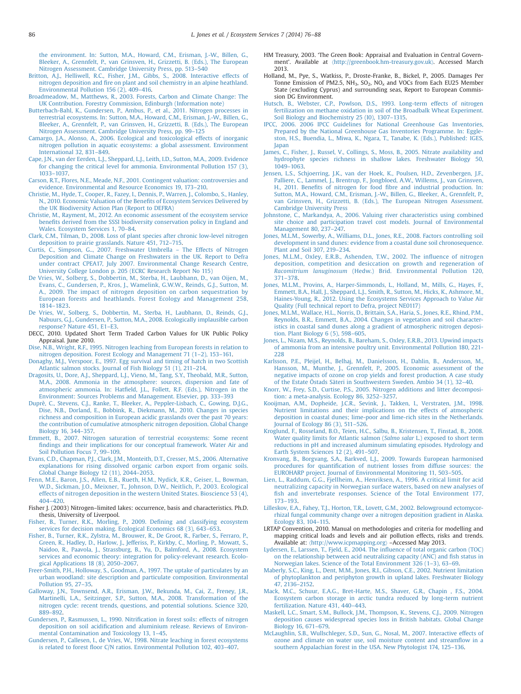<span id="page-10-0"></span>[the environment. In: Sutton, M.A., Howard, C.M., Erisman, J.-W., Billen, G.,](http://refhub.elsevier.com/S2212-0416(13)00060-0/sbref11) [Bleeker, A., Grennfelt, P., van Grinsven, H., Grizzetti, B. \(Eds.\), The European](http://refhub.elsevier.com/S2212-0416(13)00060-0/sbref11) [Nitrogen Assessment. Cambridge University Press, pp. 513](http://refhub.elsevier.com/S2212-0416(13)00060-0/sbref11)–540

- [Britton, A.J., Helliwell, R.C., Fisher, J.M., Gibbs, S., 2008. Interactive effects of](http://refhub.elsevier.com/S2212-0416(13)00060-0/sbref12) nitrogen deposition and fi[re on plant and soil chemistry in an alpine heathland.](http://refhub.elsevier.com/S2212-0416(13)00060-0/sbref12) [Environmental Pollution 156 \(2\), 409](http://refhub.elsevier.com/S2212-0416(13)00060-0/sbref12)–416.
- [Broadmeadow, M., Matthews, R., 2003. Forests, Carbon and Climate Change: The](http://refhub.elsevier.com/S2212-0416(13)00060-0/sbref13) [UK Contribution. Forestry Commission, Edinburgh \(Information note\)](http://refhub.elsevier.com/S2212-0416(13)00060-0/sbref13)
- [Butterbach-Bahl, K., Gundersen, P., Ambus, P., et al., 2011. Nitrogen processes in](http://refhub.elsevier.com/S2212-0416(13)00060-0/sbref14) [terrestrial ecosystems. In: Sutton, M.A., Howard, C.M., Erisman, J.-W., Billen, G.,](http://refhub.elsevier.com/S2212-0416(13)00060-0/sbref14) [Bleeker, A., Grennfelt, P., van Grinsven, H., Grizzetti, B. \(Eds.\), The European](http://refhub.elsevier.com/S2212-0416(13)00060-0/sbref14) [Nitrogen Assessment. Cambridge University Press, pp. 99](http://refhub.elsevier.com/S2212-0416(13)00060-0/sbref14)–125
- [Camargo, J.A., Alonso, A., 2006. Ecological and toxicological effects of inorganic](http://refhub.elsevier.com/S2212-0416(13)00060-0/sbref15) [nitrogen pollution in aquatic ecosystems: a global assessment. Environment](http://refhub.elsevier.com/S2212-0416(13)00060-0/sbref15) [International 32, 831](http://refhub.elsevier.com/S2212-0416(13)00060-0/sbref15)–849.
- [Cape, J.N., van der Eerden, L.J., Sheppard, L.J., Leith, I.D., Sutton, M.A., 2009. Evidence](http://refhub.elsevier.com/S2212-0416(13)00060-0/sbref16) [for changing the critical level for ammonia. Environmental Pollution 157 \(3\),](http://refhub.elsevier.com/S2212-0416(13)00060-0/sbref16) 1033–[1037.](http://refhub.elsevier.com/S2212-0416(13)00060-0/sbref16)
- [Carson, R.T., Flores, N.E., Meade, N.F., 2001. Contingent valuation: controversies and](http://refhub.elsevier.com/S2212-0416(13)00060-0/sbref17) [evidence. Environmental and Resource Economics 19, 173](http://refhub.elsevier.com/S2212-0416(13)00060-0/sbref17)–210.
- [Christie, M., Hyde, T., Cooper, R., Fazey, I., Dennis, P., Warren, J., Colombo, S., Hanley,](http://refhub.elsevier.com/S2212-0416(13)00060-0/sbref18) [N., 2010. Economic Valuation of the Bene](http://refhub.elsevier.com/S2212-0416(13)00060-0/sbref18)fits of Ecosystem Services Delivered by [the UK Biodiversity Action Plan \(Report to DEFRA\)](http://refhub.elsevier.com/S2212-0416(13)00060-0/sbref18)
- [Christie, M., Rayment, M., 2012. An economic assessment of the ecosystem service](http://refhub.elsevier.com/S2212-0416(13)00060-0/sbref19) benefi[ts derived from the SSSI biodiversity conservation policy in England and](http://refhub.elsevier.com/S2212-0416(13)00060-0/sbref19) [Wales. Ecosystem Services 1, 70](http://refhub.elsevier.com/S2212-0416(13)00060-0/sbref19)–84.
- [Clark, C.M., Tilman, D., 2008. Loss of plant species after chronic low-level nitrogen](http://refhub.elsevier.com/S2212-0416(13)00060-0/sbref20) [deposition to prairie grasslands. Nature 451, 712](http://refhub.elsevier.com/S2212-0416(13)00060-0/sbref20)–715.
- [Curtis, C., Simpson, G.., 2007. Freshwater Umbrella](http://refhub.elsevier.com/S2212-0416(13)00060-0/sbref21) The Effects of Nitrogen [Deposition and Climate Change on Freshwaters in the UK. Report to Defra](http://refhub.elsevier.com/S2212-0416(13)00060-0/sbref21) [under contract CPEA17, July 2007. Environmental Change Research Centre,](http://refhub.elsevier.com/S2212-0416(13)00060-0/sbref21) [University College London p. 205 \(ECRC Research Report No 115\)](http://refhub.elsevier.com/S2212-0416(13)00060-0/sbref21)
- [De Vries, W., Solberg, S., Dobbertin, M., Sterba, H., Laubhann, D., van Oijen, M.,](http://refhub.elsevier.com/S2212-0416(13)00060-0/sbref22) [Evans, C., Gundersen, P., Kros, J., Wamelink, G.W.W., Reinds, G.J., Sutton, M.](http://refhub.elsevier.com/S2212-0416(13)00060-0/sbref22) [A., 2009. The impact of nitrogen deposition on carbon sequestration by](http://refhub.elsevier.com/S2212-0416(13)00060-0/sbref22) [European forests and heathlands. Forest Ecology and Management 258,](http://refhub.elsevier.com/S2212-0416(13)00060-0/sbref22) 1814–[1823.](http://refhub.elsevier.com/S2212-0416(13)00060-0/sbref22)
- [De Vries, W., Solberg, S., Dobbertin, M., Sterba, H., Laubhann, D., Reinds, G.J.,](http://refhub.elsevier.com/S2212-0416(13)00060-0/sbref23) [Nabuurs, G.J., Gundersen, P., Sutton, M.A., 2008. Ecologically implausible carbon](http://refhub.elsevier.com/S2212-0416(13)00060-0/sbref23) [response? Nature 451, E1](http://refhub.elsevier.com/S2212-0416(13)00060-0/sbref23)–E3.
- DECC, 2010. Updated Short Term Traded Carbon Values for UK Public Policy Appraisal. June 2010.
- [Dise, N.B., Wright, R.F., 1995. Nitrogen leaching from European forests in relation to](http://refhub.elsevier.com/S2212-0416(13)00060-0/sbref24) [nitrogen deposition. Forest Ecology and Management 71 \(1](http://refhub.elsevier.com/S2212-0416(13)00060-0/sbref24)–2), 153–161.
- [Donaghy, M.J., Verspoor, E., 1997. Egg survival and timing of hatch in two Scottish](http://refhub.elsevier.com/S2212-0416(13)00060-0/sbref25) [Atlantic salmon stocks. Journal of Fish Biology 51 \(1\), 211](http://refhub.elsevier.com/S2212-0416(13)00060-0/sbref25)–214.
- [Dragosits, U., Dore, A.J., Sheppard, L.J., Vieno, M., Tang, S.Y., Theobald, M.R., Sutton,](http://refhub.elsevier.com/S2212-0416(13)00060-0/sbref26) [M.A., 2008. Ammonia in the atmosphere: sources, dispersion and fate of](http://refhub.elsevier.com/S2212-0416(13)00060-0/sbref26) atmospheric ammonia. In: Hatfi[eld, J.L., Follett, R.F. \(Eds.\), Nitrogen in the](http://refhub.elsevier.com/S2212-0416(13)00060-0/sbref26) [Environment: Sources Problems and Management. Elsevier, pp. 333](http://refhub.elsevier.com/S2212-0416(13)00060-0/sbref26)–393
- [Duprè, C., Stevens, C.J., Ranke, T., Bleeker, A., Peppler-Lisbach, C., Gowing, D.J.G.,](http://refhub.elsevier.com/S2212-0416(13)00060-0/sbref28) [Dise, N.B., Dorland, E., Bobbink, R., Diekmann, M., 2010. Changes in species](http://refhub.elsevier.com/S2212-0416(13)00060-0/sbref28) [richness and composition in European acidic grasslands over the past 70 years:](http://refhub.elsevier.com/S2212-0416(13)00060-0/sbref28) [the contribution of cumulative atmospheric nitrogen deposition. Global Change](http://refhub.elsevier.com/S2212-0416(13)00060-0/sbref28) [Biology 16, 344](http://refhub.elsevier.com/S2212-0416(13)00060-0/sbref28)–357.
- [Emmett, B., 2007. Nitrogen saturation of terrestrial ecosystems: Some recent](http://refhub.elsevier.com/S2212-0416(13)00060-0/sbref29) fi[ndings and their implications for our conceptual framework. Water Air and](http://refhub.elsevier.com/S2212-0416(13)00060-0/sbref29) [Soil Pollution Focus 7, 99](http://refhub.elsevier.com/S2212-0416(13)00060-0/sbref29)–109.
- [Evans, C.D., Chapman, P.J., Clark, J.M., Monteith, D.T., Cresser, M.S., 2006. Alternative](http://refhub.elsevier.com/S2212-0416(13)00060-0/sbref30) [explanations for rising dissolved organic carbon export from organic soils.](http://refhub.elsevier.com/S2212-0416(13)00060-0/sbref30) [Global Change Biology 12 \(11\), 2044](http://refhub.elsevier.com/S2212-0416(13)00060-0/sbref30)–2053.
- [Fenn, M.E., Baron, J.S., Allen, E.B., Rueth, H.M., Nydick, K.R., Geiser, L., Bowman,](http://refhub.elsevier.com/S2212-0416(13)00060-0/sbref31) [W.D., Sickman, J.O., Meixner, T., Johnson, D.W., Neitlich, P., 2003. Ecological](http://refhub.elsevier.com/S2212-0416(13)00060-0/sbref31) [effects of nitrogen deposition in the western United States. Bioscience 53 \(4\),](http://refhub.elsevier.com/S2212-0416(13)00060-0/sbref31) 404–[420.](http://refhub.elsevier.com/S2212-0416(13)00060-0/sbref31)
- Fisher J. (2003) Nitrogen–limited lakes: occurrence, basis and characteristics. Ph.D. thesis, University of Liverpool.
- [Fisher, B., Turner, R.K., Morling, P., 2009. De](http://refhub.elsevier.com/S2212-0416(13)00060-0/sbref32)fining and classifying ecosystem [services for decision making. Ecological Economics 68 \(3\), 643](http://refhub.elsevier.com/S2212-0416(13)00060-0/sbref32)–653.
- [Fisher, B., Turner, R.K., Zylstra, M., Brouwer, R., De Groot, R., Farber, S., Ferraro, P.,](http://refhub.elsevier.com/S2212-0416(13)00060-0/sbref33) [Green, R., Hadley, D., Harlow, J., Jefferiss, P., Kirkby, C., Morling, P., Mowatt, S.,](http://refhub.elsevier.com/S2212-0416(13)00060-0/sbref33) [Naidoo, R., Paavola, J., Strassburg, B., Yu, D., Balmford, A., 2008. Ecosystem](http://refhub.elsevier.com/S2212-0416(13)00060-0/sbref33) [services and economic theory: integration for policy-relevant research. Ecolo](http://refhub.elsevier.com/S2212-0416(13)00060-0/sbref33)[gical Applications 18 \(8\), 2050](http://refhub.elsevier.com/S2212-0416(13)00060-0/sbref33)–2067.
- [Freer-Smith, P.H., Holloway, S., Goodman, A., 1997. The uptake of particulates by an](http://refhub.elsevier.com/S2212-0416(13)00060-0/sbref34) [urban woodland: site description and particulate composition. Environmental](http://refhub.elsevier.com/S2212-0416(13)00060-0/sbref34) [Pollution 95, 27](http://refhub.elsevier.com/S2212-0416(13)00060-0/sbref34)–35.
- [Galloway, J.N., Townsend, A.R., Erisman, J.W., Bekunda, M., Cai, Z., Freney, J.R.,](http://refhub.elsevier.com/S2212-0416(13)00060-0/sbref35) [Martinelli, L.A., Seitzinger, S.P., Sutton, M.A., 2008. Transformation of the](http://refhub.elsevier.com/S2212-0416(13)00060-0/sbref35) [nitrogen cycle: recent trends, questions, and potential solutions. Science 320,](http://refhub.elsevier.com/S2212-0416(13)00060-0/sbref35) 889–[892.](http://refhub.elsevier.com/S2212-0416(13)00060-0/sbref35)
- [Gundersen, P., Rasmussen, L., 1990. Nitri](http://refhub.elsevier.com/S2212-0416(13)00060-0/sbref36)fication in forest soils: effects of nitrogen deposition on soil acidifi[cation and aluminium release. Reviews of Environ](http://refhub.elsevier.com/S2212-0416(13)00060-0/sbref36)[mental Contamination and Toxicology 13, 1](http://refhub.elsevier.com/S2212-0416(13)00060-0/sbref36)–45.
- [Gundersen, P., Callesen, I., de Vries, W., 1998. Nitrate leaching in forest ecosystems](http://refhub.elsevier.com/S2212-0416(13)00060-0/sbref37) is related to forest fl[oor C/N ratios. Environmental Pollution 102, 403](http://refhub.elsevier.com/S2212-0416(13)00060-0/sbref37)–407.
- HM Treasury, 2003. 'The Green Book: Appraisal and Evaluation in Central Government'. Available at 〈<http://greenbook.hm-treasury.gov.uk>〉. Accessed March 2013.
- Holland, M., Pye, S., Watkiss, P., Droste-Franke, B., Bickel, P., 2005. Damages Per Tonne Emission of PM2.5, NH<sub>3</sub>, SO<sub>2</sub>, NO<sub>x</sub> and VOCs from Each EU25 Member State (excluding Cyprus) and surrounding seas, Report to European Commission DG Environment.
- [Hutsch, B., Webster, C.P., Powlson, D.S., 1993. Long-term effects of nitrogen](http://refhub.elsevier.com/S2212-0416(13)00060-0/sbref38) [fertilization on methane oxidation in soil of the Broadbalk Wheat Experiment.](http://refhub.elsevier.com/S2212-0416(13)00060-0/sbref38) [Soil Biology and Biochemistry 25 \(I0\), 1307](http://refhub.elsevier.com/S2212-0416(13)00060-0/sbref38)–1315.
- [IPCC, 2006. 2006 IPCC Guidelines for National Greenhouse Gas Inventories,](http://refhub.elsevier.com/S2212-0416(13)00060-0/sbref39) [Prepared by the National Greenhouse Gas Inventories Programme. In: Eggle](http://refhub.elsevier.com/S2212-0416(13)00060-0/sbref39)[ston, H.S., Buendia, L., Miwa, K., Ngara, T., Tanabe, K. \(Eds.\), Published: IGES,](http://refhub.elsevier.com/S2212-0416(13)00060-0/sbref39) [Japan](http://refhub.elsevier.com/S2212-0416(13)00060-0/sbref39)
- [James, C., Fisher, J., Russel, V., Collings, S., Moss, B., 2005. Nitrate availability and](http://refhub.elsevier.com/S2212-0416(13)00060-0/sbref40) [hydrophyte species richness in shallow lakes. Freshwater Biology 50,](http://refhub.elsevier.com/S2212-0416(13)00060-0/sbref40) 1049–[1063.](http://refhub.elsevier.com/S2212-0416(13)00060-0/sbref40)
- [Jensen, L.S., Schjoerring, J.K., van der Hoek, K., Poulsen, H.D., Zevenbergen, J.F.,](http://refhub.elsevier.com/S2212-0416(13)00060-0/sbref41) [Palliere, C., Lammel, J., Brentrup, F., Jongbloed, A.W., Willems, J., van Grinsven,](http://refhub.elsevier.com/S2212-0416(13)00060-0/sbref41) H., 2011. Benefits of nitrogen for food fi[bre and industrial production. In:](http://refhub.elsevier.com/S2212-0416(13)00060-0/sbref41) [Sutton, M.A., Howard, C.M., Erisman, J.-W., Billen, G., Bleeker, A., Grennfelt, P.,](http://refhub.elsevier.com/S2212-0416(13)00060-0/sbref41) [van Grinsven, H., Grizzetti, B. \(Eds.\), The European Nitrogen Assessment.](http://refhub.elsevier.com/S2212-0416(13)00060-0/sbref41) [Cambridge University Press](http://refhub.elsevier.com/S2212-0416(13)00060-0/sbref41)
- [Johnstone, C., Markandya, A., 2006. Valuing river characteristics using combined](http://refhub.elsevier.com/S2212-0416(13)00060-0/sbref42) [site choice and participation travel cost models. Journal of Environmental](http://refhub.elsevier.com/S2212-0416(13)00060-0/sbref42) [Management 80, 237](http://refhub.elsevier.com/S2212-0416(13)00060-0/sbref42)–247.
- [Jones, M.L.M., Sowerby, A., Williams, D.L., Jones, R.E., 2008. Factors controlling soil](http://refhub.elsevier.com/S2212-0416(13)00060-0/sbref43) [development in sand dunes: evidence from a coastal dune soil chronosequence.](http://refhub.elsevier.com/S2212-0416(13)00060-0/sbref43) [Plant and Soil 307, 219](http://refhub.elsevier.com/S2212-0416(13)00060-0/sbref43)–234.
- [Jones, M.L.M., Oxley, E.R.B., Ashenden, T.W., 2002. The in](http://refhub.elsevier.com/S2212-0416(13)00060-0/sbref44)fluence of nitrogen [deposition, competition and desiccation on growth and regeneration of](http://refhub.elsevier.com/S2212-0416(13)00060-0/sbref44) Racomitrium lanuginosum [\(Hedw.\) Brid. Environmental Pollution 120,](http://refhub.elsevier.com/S2212-0416(13)00060-0/sbref44) 371–[378.](http://refhub.elsevier.com/S2212-0416(13)00060-0/sbref44)
- [Jones, M.L.M., Provins, A., Harper-Simmonds, L., Holland, M., Mills, G., Hayes, F.,](http://refhub.elsevier.com/S2212-0416(13)00060-0/sbref45) [Emmett, B.A., Hall, J., Sheppard, L.J., Smith, R., Sutton, M., Hicks, K., Ashmore, M.,](http://refhub.elsevier.com/S2212-0416(13)00060-0/sbref45) [Haines-Young, R., 2012. Using the Ecosystems Services Approach to Value Air](http://refhub.elsevier.com/S2212-0416(13)00060-0/sbref45) [Quality \(Full technical report to Defra, project NE0117\)](http://refhub.elsevier.com/S2212-0416(13)00060-0/sbref45)
- [Jones, M.L.M., Wallace, H.L., Norris, D., Brittain, S.A., Haria, S., Jones, R.E., Rhind, P.M.,](http://refhub.elsevier.com/S2212-0416(13)00060-0/sbref46) [Reynolds, B.R., Emmett, B.A., 2004. Changes in vegetation and soil character](http://refhub.elsevier.com/S2212-0416(13)00060-0/sbref46)[istics in coastal sand dunes along a gradient of atmospheric nitrogen deposi](http://refhub.elsevier.com/S2212-0416(13)00060-0/sbref46)[tion. Plant Biology 6 \(5\), 598](http://refhub.elsevier.com/S2212-0416(13)00060-0/sbref46)–605.
- [Jones, L., Nizam, M.S., Reynolds, B., Bareham, S., Oxley, E.R.B., 2013. Upwind impacts](http://refhub.elsevier.com/S2212-0416(13)00060-0/sbref47) [of ammonia from an intensive poultry unit. Environmental Pollution 180, 221-](http://refhub.elsevier.com/S2212-0416(13)00060-0/sbref47) [228](http://refhub.elsevier.com/S2212-0416(13)00060-0/sbref47)
- [Karlsson, P.E., Pleijel, H., Belhaj, M., Danielsson, H., Dahlin, B., Andersson, M.,](http://refhub.elsevier.com/S2212-0416(13)00060-0/sbref48) [Hansson, M., Munthe, J., Grennfelt, P., 2005. Economic assessment of the](http://refhub.elsevier.com/S2212-0416(13)00060-0/sbref48) [negative impacts of ozone on crop yields and forest production. A case study](http://refhub.elsevier.com/S2212-0416(13)00060-0/sbref48) [of the Estate Östads Säteri in Southwestern Sweden. Ambio 34 \(1\), 32](http://refhub.elsevier.com/S2212-0416(13)00060-0/sbref48)–40.
- [Knorr, W., Frey, S.D., Curtise, P.S., 2005. Nitrogen additions and litter decomposi](http://refhub.elsevier.com/S2212-0416(13)00060-0/sbref49)[tion: a meta-analysis. Ecology 86, 3252](http://refhub.elsevier.com/S2212-0416(13)00060-0/sbref49)–3257.
- [Kooijman, A.M., Dopheide, J.C.R., Sevink, J., Takken, I., Verstraten, J.M., 1998.](http://refhub.elsevier.com/S2212-0416(13)00060-0/sbref50) [Nutrient limitations and their implications on the effects of atmospheric](http://refhub.elsevier.com/S2212-0416(13)00060-0/sbref50) [deposition in coastal dunes; lime-poor and lime-rich sites in the Netherlands.](http://refhub.elsevier.com/S2212-0416(13)00060-0/sbref50) [Journal of Ecology 86 \(3\), 511](http://refhub.elsevier.com/S2212-0416(13)00060-0/sbref50)–526.
- [Kroglund, F., Rosseland, B.O., Teien, H.C., Salbu, B., Kristensen, T., Finstad, B., 2008.](http://refhub.elsevier.com/S2212-0416(13)00060-0/sbref51) [Water quality limits for Atlantic salmon \(](http://refhub.elsevier.com/S2212-0416(13)00060-0/sbref51)Salmo salar L.) exposed to short term [reductions in pH and increased aluminum simulating episodes. Hydrology and](http://refhub.elsevier.com/S2212-0416(13)00060-0/sbref51) [Earth System Sciences 12 \(2\), 491](http://refhub.elsevier.com/S2212-0416(13)00060-0/sbref51)–507.
- [Kronvang, B., Borgvang, S.A., Barkved, L.J., 2009. Towards European harmonised](http://refhub.elsevier.com/S2212-0416(13)00060-0/sbref52) procedures for quantifi[cation of nutrient losses from diffuse sources: the](http://refhub.elsevier.com/S2212-0416(13)00060-0/sbref52) [EUROHARP project. Journal of Environmental Monitoring 11, 503](http://refhub.elsevier.com/S2212-0416(13)00060-0/sbref52)–505.
- [Lien, L., Raddum, G.G., Fjellheim, A., Henriksen, A., 1996. A critical limit for acid](http://refhub.elsevier.com/S2212-0416(13)00060-0/sbref54) [neutralizing capacity in Norwegian surface waters, based on new analyses of](http://refhub.elsevier.com/S2212-0416(13)00060-0/sbref54) fi[sh and invertebrate responses. Science of the Total Environment 177,](http://refhub.elsevier.com/S2212-0416(13)00060-0/sbref54) 173–[193.](http://refhub.elsevier.com/S2212-0416(13)00060-0/sbref54)
- [Lilleskov, E.A., Fahey, T.J., Horton, T.R., Lovett, G.M., 2002. Belowground ectomycor](http://refhub.elsevier.com/S2212-0416(13)00060-0/sbref55)[rhizal fungal community change over a nitrogen deposition gradient in Alaska.](http://refhub.elsevier.com/S2212-0416(13)00060-0/sbref55) [Ecology 83, 104](http://refhub.elsevier.com/S2212-0416(13)00060-0/sbref55)–115.
- LRTAP Convention, 2010. Manual on methodologies and criteria for modelling and mapping critical loads and levels and air pollution effects, risks and trends. Available at: 〈<http://www.icpmapping.org>〉 –Accessed May 2013.
- [Lydersen, E., Larssen, T., Fjeld, E., 2004. The in](http://refhub.elsevier.com/S2212-0416(13)00060-0/sbref56)fluence of total organic carbon (TOC) [on the relationship between acid neutralizing capacity \(ANC\) and](http://refhub.elsevier.com/S2212-0416(13)00060-0/sbref56) fish status in [Norwegian lakes. Science of the Total Environment 326 \(1](http://refhub.elsevier.com/S2212-0416(13)00060-0/sbref56)–3), 63–69.
- [Maberly, S.C., King, L., Dent, M.M., Jones, R.I., Gibson, C.E., 2002. Nutrient limitation](http://refhub.elsevier.com/S2212-0416(13)00060-0/sbref57) [of phytoplankton and periphyton growth in upland lakes. Freshwater Biology](http://refhub.elsevier.com/S2212-0416(13)00060-0/sbref57) [47, 2136](http://refhub.elsevier.com/S2212-0416(13)00060-0/sbref57)–2152.
- [Mack, M.C., Schuur, E.A.G., Bret-Harte, M.S., Shaver, G.R., Chapin , F.S., 2004.](http://refhub.elsevier.com/S2212-0416(13)00060-0/sbref58) [Ecosystem carbon storage in arctic tundra reduced by long-term nutrient](http://refhub.elsevier.com/S2212-0416(13)00060-0/sbref58) [fertilization. Nature 431, 440](http://refhub.elsevier.com/S2212-0416(13)00060-0/sbref58)–443.
- [Maskell, L.C., Smart, S.M., Bullock, J.M., Thompson, K., Stevens, C.J., 2009. Nitrogen](http://refhub.elsevier.com/S2212-0416(13)00060-0/sbref59) [deposition causes widespread species loss in British habitats. Global Change](http://refhub.elsevier.com/S2212-0416(13)00060-0/sbref59) [Biology 16, 671](http://refhub.elsevier.com/S2212-0416(13)00060-0/sbref59)–679.
- [McLaughlin, S.B., Wullschleger, S.D., Sun, G., Nosal, M., 2007. Interactive effects of](http://refhub.elsevier.com/S2212-0416(13)00060-0/sbref60) [ozone and climate on water use, soil moisture content and stream](http://refhub.elsevier.com/S2212-0416(13)00060-0/sbref60)flow in a [southern Appalachian forest in the USA. New Phytologist 174, 125](http://refhub.elsevier.com/S2212-0416(13)00060-0/sbref60)–136.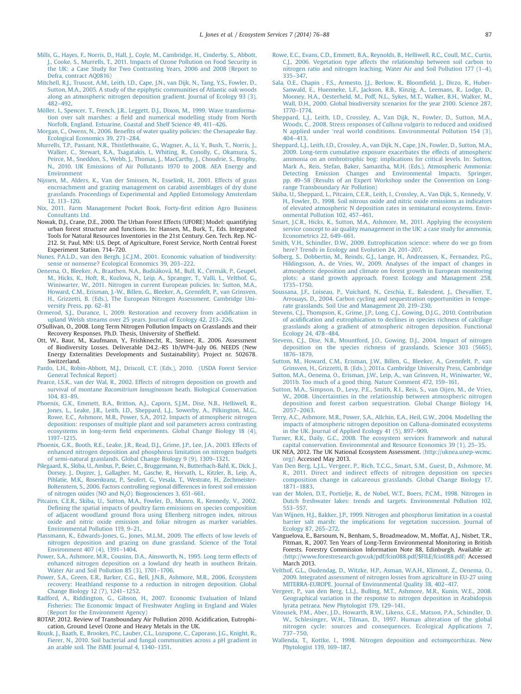- <span id="page-11-0"></span>[Mills, G., Hayes, F., Norris, D., Hall, J., Coyle, M., Cambridge, H., Cinderby, S., Abbott,](http://refhub.elsevier.com/S2212-0416(13)00060-0/sbref61) [J., Cooke, S., Murrells, T., 2011. Impacts of Ozone Pollution on Food Security in](http://refhub.elsevier.com/S2212-0416(13)00060-0/sbref61) [the UK: a Case Study for Two Contrasting Years, 2006 and 2008 \(Report to](http://refhub.elsevier.com/S2212-0416(13)00060-0/sbref61) [Defra, contract AQ0816\)](http://refhub.elsevier.com/S2212-0416(13)00060-0/sbref61)
- [Mitchell, R.J., Truscot, A.M., Leith, I.D., Cape, J.N., van Dijk, N., Tang, Y.S., Fowler, D.,](http://refhub.elsevier.com/S2212-0416(13)00060-0/sbref62) [Sutton, M.A., 2005. A study of the epiphytic communities of Atlantic oak woods](http://refhub.elsevier.com/S2212-0416(13)00060-0/sbref62) [along an atmospheric nitrogen deposition gradient. Journal of Ecology 93 \(3\),](http://refhub.elsevier.com/S2212-0416(13)00060-0/sbref62) 482–[492.](http://refhub.elsevier.com/S2212-0416(13)00060-0/sbref62)
- [Möller, I., Spencer, T., French, J.R., Leggett, D.J., Dixon, M., 1999. Wave transforma](http://refhub.elsevier.com/S2212-0416(13)00060-0/sbref63)tion over salt marshes: a fi[eld and numerical modelling study from North](http://refhub.elsevier.com/S2212-0416(13)00060-0/sbref63) [Norfolk, England. Estuarine, Coastal and Shelf Science 49, 411](http://refhub.elsevier.com/S2212-0416(13)00060-0/sbref63)–426.
- Morgan, C., Owens, N., 2006. Benefi[ts of water quality policies: the Chesapeake Bay.](http://refhub.elsevier.com/S2212-0416(13)00060-0/sbref64) [Ecological Economics 39, 271](http://refhub.elsevier.com/S2212-0416(13)00060-0/sbref64)–284.
- [Murrells, T.P., Passant, N.R., Thistlethwaite, G., Wagner, A., Li, Y., Bush, T., Norris, J.,](http://refhub.elsevier.com/S2212-0416(13)00060-0/sbref65) [Walker, C., Stewart, R.A., Tsagatakis, I., Whiting, R., Conolly, C., Okamura, S.,](http://refhub.elsevier.com/S2212-0416(13)00060-0/sbref65) [Peirce, M., Sneddon, S., Webb, J., Thomas, J., MacCarthy, J., Choudrie, S., Brophy,](http://refhub.elsevier.com/S2212-0416(13)00060-0/sbref65) [N., 2010. UK Emissions of Air Pollutants 1970 to 2008. AEA Energy and](http://refhub.elsevier.com/S2212-0416(13)00060-0/sbref65) [Environment](http://refhub.elsevier.com/S2212-0416(13)00060-0/sbref65)
- [Nijssen, M., Alders, K., Van der Smissen, N., Esselink, H., 2001. Effects of grass](http://refhub.elsevier.com/S2212-0416(13)00060-0/sbref66) [encroachment and grazing management on carabid assemblages of dry dune](http://refhub.elsevier.com/S2212-0416(13)00060-0/sbref66) [grasslands. Proceedings of Experimental and Applied Entomology Amsterdam](http://refhub.elsevier.com/S2212-0416(13)00060-0/sbref66) [12, 113](http://refhub.elsevier.com/S2212-0416(13)00060-0/sbref66)–120.
- [Nix, 2011. Farm Management Pocket Book, Forty-](http://refhub.elsevier.com/S2212-0416(13)00060-0/sbref67)first edition Agro Business [Consultants Ltd.](http://refhub.elsevier.com/S2212-0416(13)00060-0/sbref67)
- Nowak, D.J., Crane, D.E., 2000. The Urban Forest Effects (UFORE) Model: quantifying urban forest structure and functions. In: Hansen, M., Burk, T., Eds. Integrated Tools for Natural Resources Inventories in the 21st Century. Gen. Tech. Rep. NC-212. St. Paul, MN: U.S. Dept. of Agriculture, Forest Service, North Central Forest Experiment Station. 714–720.
- [Nunes, P.A.L.D., van den Bergh, J.C.J.M., 2001. Economic valuation of biodiversity:](http://refhub.elsevier.com/S2212-0416(13)00060-0/sbref68) [sense or nonsense? Ecological Economics 39, 203](http://refhub.elsevier.com/S2212-0416(13)00060-0/sbref68)–222.
- [Oenema, O., Bleeker, A., Braathen, N.A., Bud](http://refhub.elsevier.com/S2212-0416(13)00060-0/sbref69)ňáková, M., Bull, K., Čermák, P., Geupel, [M., Hicks, K., Hoft, R., Kozlova, N., Leip, A., Spranger, T., Valli, L., Velthof, G.,](http://refhub.elsevier.com/S2212-0416(13)00060-0/sbref69) [Winiwarter, W., 2011. Nitrogen in current European policies. In: Sutton, M.A.,](http://refhub.elsevier.com/S2212-0416(13)00060-0/sbref69) [Howard, C.M., Erisman, J.-W., Billen, G., Bleeker, A., Grennfelt, P., van Grinsven,](http://refhub.elsevier.com/S2212-0416(13)00060-0/sbref69) [H., Grizzetti, B. \(Eds.\), The European Nitrogen Assessment. Cambridge Uni](http://refhub.elsevier.com/S2212-0416(13)00060-0/sbref69)[versity Press, pp. 62](http://refhub.elsevier.com/S2212-0416(13)00060-0/sbref69)–81
- [Ormerod, S.J., Durance, I., 2009. Restoration and recovery from acidi](http://refhub.elsevier.com/S2212-0416(13)00060-0/sbref70)fication in [upland Welsh streams over 25 years. Journal of Ecology 42, 213](http://refhub.elsevier.com/S2212-0416(13)00060-0/sbref70)–226.
- O'Sullivan, O., 2008. Long Term Nitrogen Pollution Impacts on Grasslands and their Recovery Responses. Ph.D. Thesis, University of Sheffield.
- Ott, W., Baur, M., Kaufmann, Y., Frishknecht, R., Steiner, R.. 2006. Assessment of Biodiversity Losses. Deliverable D4.2.-RS 1b/WP4–July 06. NEEDS (New Energy Externalities Developments and Sustainability). Project nr. 502678. Switzerland.
- [Pardo, L.H., Robin-Abbott, M.J., Driscoll, C.T. \(Eds.\), 2010. \(USDA Forest Service](http://refhub.elsevier.com/S2212-0416(13)00060-0/sbref71) [General Technical Report\)](http://refhub.elsevier.com/S2212-0416(13)00060-0/sbref71)
- [Pearce, I.S.K., van der Wal, R., 2002. Effects of nitrogen deposition on growth and](http://refhub.elsevier.com/S2212-0416(13)00060-0/sbref72) survival of montane Racomitrium lanuginosum [heath. Biological Conservation](http://refhub.elsevier.com/S2212-0416(13)00060-0/sbref72) [104, 83](http://refhub.elsevier.com/S2212-0416(13)00060-0/sbref72)–89.
- [Phoenix, G.K., Emmett, B.A., Britton, A.J., Caporn, S.J.M., Dise, N.B., Helliwell, R.,](http://refhub.elsevier.com/S2212-0416(13)00060-0/sbref73) [Jones, L., Leake, J.R., Leith, I.D., Sheppard, L.J., Sowerby, A., Pilkington, M.G.,](http://refhub.elsevier.com/S2212-0416(13)00060-0/sbref73) [Rowe, E.C., Ashmore, M.R., Power, S.A., 2012. Impacts of atmospheric nitrogen](http://refhub.elsevier.com/S2212-0416(13)00060-0/sbref73) [deposition: responses of multiple plant and soil parameters across contrasting](http://refhub.elsevier.com/S2212-0416(13)00060-0/sbref73) ecosystems in long-term fi[eld experiments. Global Change Biology 18 \(4\),](http://refhub.elsevier.com/S2212-0416(13)00060-0/sbref73) 1197–[1215.](http://refhub.elsevier.com/S2212-0416(13)00060-0/sbref73)
- [Phoenix, G.K., Booth, R.E., Leake, J.R., Read, D.J., Grime, J.P., Lee, J.A., 2003. Effects of](http://refhub.elsevier.com/S2212-0416(13)00060-0/sbref74) [enhanced nitrogen deposition and phosphorus limitation on nitrogen budgets](http://refhub.elsevier.com/S2212-0416(13)00060-0/sbref74) [of semi-natural grasslands. Global Change Biology 9 \(9\), 1309](http://refhub.elsevier.com/S2212-0416(13)00060-0/sbref74)–1321.
- [Pilegaard, K., Skiba, U., Ambus, P., Beier, C., Bruggemann, N., Butterbach-Bahl, K., Dick, J.,](http://refhub.elsevier.com/S2212-0416(13)00060-0/sbref75) [Dorsey, J., Duyzer, J., Gallagher, M., Gasche, R., Horvath, L., Kitzler, B., Leip, A.,](http://refhub.elsevier.com/S2212-0416(13)00060-0/sbref75) [Pihlatie, M.K., Rosenkranz, P., Seufert, G., Vesala, T., Westrate, H., Zechmeister-](http://refhub.elsevier.com/S2212-0416(13)00060-0/sbref75)[Boltenstern, S., 2006. Factors controlling regional differences in forest soil emission](http://refhub.elsevier.com/S2212-0416(13)00060-0/sbref75) of nitrogen oxides (NO and  $N_2O$ ). Biogeosciences 3, 651–661.
- [Pitcairn, C.E.R., Skiba, U., Sutton, M.A., Fowler, D., Munro, R., Kennedy, V., 2002.](http://refhub.elsevier.com/S2212-0416(13)00060-0/sbref76) Defi[ning the spatial impacts of poultry farm emissions on species composition](http://refhub.elsevier.com/S2212-0416(13)00060-0/sbref76) of adjacent woodland ground fl[ora using Ellenberg nitrogen index, nitrous](http://refhub.elsevier.com/S2212-0416(13)00060-0/sbref76) [oxide and nitric oxide emission and foliar nitrogen as marker variables.](http://refhub.elsevier.com/S2212-0416(13)00060-0/sbref76) [Environmental Pollution 119, 9](http://refhub.elsevier.com/S2212-0416(13)00060-0/sbref76)–21.
- [Plassmann, K., Edwards-Jones, G., Jones, M.L.M., 2009. The effects of low levels of](http://refhub.elsevier.com/S2212-0416(13)00060-0/sbref77) [nitrogen deposition and grazing on dune grassland. Science of the Total](http://refhub.elsevier.com/S2212-0416(13)00060-0/sbref77) [Environment 407 \(4\), 1391](http://refhub.elsevier.com/S2212-0416(13)00060-0/sbref77)–1404.
- [Power, S.A., Ashmore, M.R., Cousins, D.A., Ainsworth, N., 1995. Long term effects of](http://refhub.elsevier.com/S2212-0416(13)00060-0/sbref78) [enhanced nitrogen deposition on a lowland dry heath in southern Britain.](http://refhub.elsevier.com/S2212-0416(13)00060-0/sbref78) [Water Air and Soil Pollution 85 \(3\), 1701](http://refhub.elsevier.com/S2212-0416(13)00060-0/sbref78)–1706.
- [Power, S.A., Green, E.R., Barker, C.G., Bell, J.N.B., Ashmore, M.R., 2006. Ecosystem](http://refhub.elsevier.com/S2212-0416(13)00060-0/sbref79) [recovery: Heathland response to a reduction in nitrogen deposition. Global](http://refhub.elsevier.com/S2212-0416(13)00060-0/sbref79) [Change Biology 12 \(7\), 1241](http://refhub.elsevier.com/S2212-0416(13)00060-0/sbref79)–1252.
- [Radford, A., Riddington, G., Gibson, H., 2007. Economic Evaluation of Inland](http://refhub.elsevier.com/S2212-0416(13)00060-0/sbref80) [Fisheries: The Economic Impact of Freshwater Angling in England and Wales](http://refhub.elsevier.com/S2212-0416(13)00060-0/sbref80) [\(Report for the Environment Agency\)](http://refhub.elsevier.com/S2212-0416(13)00060-0/sbref80)
- ROTAP, 2012. Review of Transboundary Air Pollution 2010. Acidification, Eutrophication, Ground Level Ozone and Heavy Metals in the UK.
- [Rousk, J., Baath, E., Brookes, P.C., Lauber, C.L., Lozupone, C., Caporaso, J.G., Knight, R.,](http://refhub.elsevier.com/S2212-0416(13)00060-0/sbref82) [Fierer, N., 2010. Soil bacterial and fungal communities across a pH gradient in](http://refhub.elsevier.com/S2212-0416(13)00060-0/sbref82) [an arable soil. The ISME Journal 4, 1340](http://refhub.elsevier.com/S2212-0416(13)00060-0/sbref82)–1351.
- [Rowe, E.C., Evans, C.D., Emmett, B.A., Reynolds, B., Helliwell, R.C., Coull, M.C., Curtis,](http://refhub.elsevier.com/S2212-0416(13)00060-0/sbref83) [C.J., 2006. Vegetation type affects the relationship between soil carbon to](http://refhub.elsevier.com/S2212-0416(13)00060-0/sbref83) [nitrogen ratio and nitrogen leaching. Water Air and Soil Pollution 177 \(1](http://refhub.elsevier.com/S2212-0416(13)00060-0/sbref83)–4), 335–[347.](http://refhub.elsevier.com/S2212-0416(13)00060-0/sbref83)
- [Sala, O.E., Chapin , F.S., Armesto, J.J., Berlow, R., Bloom](http://refhub.elsevier.com/S2212-0416(13)00060-0/sbref84)field, J., Dirzo, R., Huber-[Sanwald, E., Huenneke, L.F., Jackson, R.B., Kinzig, A., Leemans, R., Lodge, D.,](http://refhub.elsevier.com/S2212-0416(13)00060-0/sbref84) [Mooney, H.A., Oesterheld, M., Poff, N.L., Sykes, M.T., Walker, B.H., Walker, M.,](http://refhub.elsevier.com/S2212-0416(13)00060-0/sbref84) [Wall, D.H., 2000. Global biodiversity scenarios for the year 2100. Science 287,](http://refhub.elsevier.com/S2212-0416(13)00060-0/sbref84) 1770–[1774.](http://refhub.elsevier.com/S2212-0416(13)00060-0/sbref84)
- Sheppard, L.J., Leith, I.D., Crossley, A., Van Dijk, N., Fowler, D., Sutton, M.A. [Woods, C., 2008. Stress responses of](http://refhub.elsevier.com/S2212-0416(13)00060-0/sbref85) Calluna vulgaris to reduced and oxidised N applied under '[real world conditions. Environmental Pollution 154 \(3\),](http://refhub.elsevier.com/S2212-0416(13)00060-0/sbref85) 404–[413.](http://refhub.elsevier.com/S2212-0416(13)00060-0/sbref85)
- [Sheppard, L.J., Leith, I.D., Crossley, A., van Dijk, N., Cape, J.N., Fowler, D., Sutton, M.A.,](http://refhub.elsevier.com/S2212-0416(13)00060-0/sbref86) [2009. Long-term cumulative exposure exacerbates the effects of atmospheric](http://refhub.elsevier.com/S2212-0416(13)00060-0/sbref86) [ammonia on an ombrotrophic bog: implications for critical levels. In: Sutton,](http://refhub.elsevier.com/S2212-0416(13)00060-0/sbref86) [Mark A., Reis, Stefan, Baker, Samantha, M.H. \(Eds.\), Atmospheric Ammonia:](http://refhub.elsevier.com/S2212-0416(13)00060-0/sbref86) [Detecting Emission Changes and Environmental Impacts. Springer,](http://refhub.elsevier.com/S2212-0416(13)00060-0/sbref86) pp. 49–[58 \(Results of an Expert Workshop under the Convention on Long](http://refhub.elsevier.com/S2212-0416(13)00060-0/sbref86)[range Transboundary Air Pollution\)](http://refhub.elsevier.com/S2212-0416(13)00060-0/sbref86)
- [Skiba, U., Sheppard, L., Pitcairn, C.E.R., Leith, I., Crossley, A., Van Dijk, S., Kennedy, V.](http://refhub.elsevier.com/S2212-0416(13)00060-0/sbref88) [H., Fowler, D., 1998. Soil nitrous oxide and nitric oxide emissions as indicators](http://refhub.elsevier.com/S2212-0416(13)00060-0/sbref88) [of elevated atmospheric N deposition rates in seminatural ecosystems. Envir](http://refhub.elsevier.com/S2212-0416(13)00060-0/sbref88)[onmental Pollution 102, 457](http://refhub.elsevier.com/S2212-0416(13)00060-0/sbref88)–461.
- [Smart, J.C.R., Hicks, K., Sutton, M.A., Ashmore, M., 2011. Applying the ecosystem](http://refhub.elsevier.com/S2212-0416(13)00060-0/sbref89) [service concept to air quality management in the UK: a case study for ammonia.](http://refhub.elsevier.com/S2212-0416(13)00060-0/sbref89) [Econometrics 22, 649](http://refhub.elsevier.com/S2212-0416(13)00060-0/sbref89)–661.
- [Smith, V.H., Schindler, D.W., 2009. Eutrophication science: where do we go from](http://refhub.elsevier.com/S2212-0416(13)00060-0/sbref90) [here? Trends in Ecology and Evolution 24, 201](http://refhub.elsevier.com/S2212-0416(13)00060-0/sbref90)–207.
- [Solberg, S., Dobbertin, M., Reinds, G.J., Lange, H., Andreassen, K., Fernandez, P.G.,](http://refhub.elsevier.com/S2212-0416(13)00060-0/sbref91) [Hildingsson, A., de Vries, W., 2009. Analyses of the impact of changes in](http://refhub.elsevier.com/S2212-0416(13)00060-0/sbref91) [atmospheric deposition and climate on forest growth in European monitoring](http://refhub.elsevier.com/S2212-0416(13)00060-0/sbref91) [plots: a stand growth approach. Forest Ecology and Management 258,](http://refhub.elsevier.com/S2212-0416(13)00060-0/sbref91) 1735–[1750.](http://refhub.elsevier.com/S2212-0416(13)00060-0/sbref91)
- [Soussana, J.F., Loiseau, P., Vuichard, N., Ceschia, E., Balesdent, J., Chevallier, T.,](http://refhub.elsevier.com/S2212-0416(13)00060-0/sbref92) [Arrouays, D., 2004. Carbon cycling and sequestration opportunities in tempe](http://refhub.elsevier.com/S2212-0416(13)00060-0/sbref92)[rate grasslands. Soil Use and Management 20, 219](http://refhub.elsevier.com/S2212-0416(13)00060-0/sbref92)–230.
- [Stevens, C.J., Thompson, K., Grime, J.P., Long, C.J., Gowing, D.J.G., 2010. Contribution](http://refhub.elsevier.com/S2212-0416(13)00060-0/sbref93) of acidifi[cation and eutrophication to declines in species richness of calcifuge](http://refhub.elsevier.com/S2212-0416(13)00060-0/sbref93) [grasslands along a gradient of atmospheric nitrogen deposition. Functional](http://refhub.elsevier.com/S2212-0416(13)00060-0/sbref93) [Ecology 24, 478](http://refhub.elsevier.com/S2212-0416(13)00060-0/sbref93)–484.
- [Stevens, C.J., Dise, N.B., Mountford, J.O., Gowing, D.J., 2004. Impact of nitrogen](http://refhub.elsevier.com/S2212-0416(13)00060-0/sbref94) [deposition on the species richness of grasslands. Science 303 \(5665\),](http://refhub.elsevier.com/S2212-0416(13)00060-0/sbref94) 1876–[1879.](http://refhub.elsevier.com/S2212-0416(13)00060-0/sbref94)
- [Sutton, M., Howard, C.M., Erisman, J.W., Billen, G., Bleeker, A., Grennfelt, P., van](http://refhub.elsevier.com/S2212-0416(13)00060-0/sbref95) [Grinsven, H., Grizzetti, B. \(Eds.\), 2011a. Cambridge University Press, Cambridge](http://refhub.elsevier.com/S2212-0416(13)00060-0/sbref95)
- [Sutton, M.A., Oenema, O., Erisman, J.W., Leip, A., van Grinsven, H., Winiwarter, W.,](http://refhub.elsevier.com/S2212-0416(13)00060-0/sbref96) [2011b. Too much of a good thing. Nature Comment 472, 159](http://refhub.elsevier.com/S2212-0416(13)00060-0/sbref96)–161. [Sutton, M.A., Simpson, D., Levy, P.E., Smith, R.I., Reis, S., van Oijen, M., de Vries,](http://refhub.elsevier.com/S2212-0416(13)00060-0/sbref97)
- [W., 2008. Uncertainties in the relationship between atmospheric nitrogen](http://refhub.elsevier.com/S2212-0416(13)00060-0/sbref97) [deposition and forest carbon sequestration. Global Change Biology 14,](http://refhub.elsevier.com/S2212-0416(13)00060-0/sbref97) 2057–[2063.](http://refhub.elsevier.com/S2212-0416(13)00060-0/sbref97)
- [Terry, A.C., Ashmore, M.R., Power, S.A., Allchin, E.A., Heil, G.W., 2004. Modelling the](http://refhub.elsevier.com/S2212-0416(13)00060-0/sbref98) [impacts of atmospheric nitrogen deposition on Calluna-dominated ecosystems](http://refhub.elsevier.com/S2212-0416(13)00060-0/sbref98) [in the UK. Journal of Applied Ecology 41 \(5\), 897](http://refhub.elsevier.com/S2212-0416(13)00060-0/sbref98)–909.
- [Turner, R.K., Daily, G.C., 2008. The ecosystem services framework and natural](http://refhub.elsevier.com/S2212-0416(13)00060-0/sbref99) [capital conservation. Environmental and Resource Economics 39 \(1\), 25](http://refhub.elsevier.com/S2212-0416(13)00060-0/sbref99)–35.
- UK NEA, 2012. The UK National Ecosystem Assessment. 〈[http://uknea.unep-wcmc.](http://uknea.unep-wcmc.org/) [org/](http://uknea.unep-wcmc.org/)〉 Accessed May 2013.
- [Van Den Berg, L.J.L., Vergeer, P., Rich, T.C.G., Smart, S.M., Guest, D., Ashmore, M.](http://refhub.elsevier.com/S2212-0416(13)00060-0/sbref100) [R., 2011. Direct and indirect effects of nitrogen deposition on species](http://refhub.elsevier.com/S2212-0416(13)00060-0/sbref100) [composition change in calcareous grasslands. Global Change Biology 17,](http://refhub.elsevier.com/S2212-0416(13)00060-0/sbref100) 1871–[1883.](http://refhub.elsevier.com/S2212-0416(13)00060-0/sbref100)
- [van der Molen, D.T., Portielje, R., de Nobel, W.T., Boers, P.C.M., 1998. Nitrogen in](http://refhub.elsevier.com/S2212-0416(13)00060-0/sbref101) [Dutch freshwater lakes: trends and targets. Environmental Pollution 102,](http://refhub.elsevier.com/S2212-0416(13)00060-0/sbref101) 553–[557.](http://refhub.elsevier.com/S2212-0416(13)00060-0/sbref101)
- [Van Wijnen, H.J., Bakker, J.P., 1999. Nitrogen and phosphorus limitation in a coastal](http://refhub.elsevier.com/S2212-0416(13)00060-0/sbref102) [barrier salt marsh: the implications for vegetation succession. Journal of](http://refhub.elsevier.com/S2212-0416(13)00060-0/sbref102) [Ecology 87, 265](http://refhub.elsevier.com/S2212-0416(13)00060-0/sbref102)–272.
- Vanguelova, E., Barsoum, N., Benham, S., Broadmeadow, M., Moffat, A.J., Nisbet, T.R., Pitman, R., 2007. Ten Years of Long-Term Environmental Monitoring in British Forests. Forestry Commission Information Note 88, Edinburgh. Available at: 〈[http://www.forestresearch.gov.uk/pdf/fcin088.pdf/\\$FILE/fcin088.pdf](http://www.forestresearch.gov.uk/pdf/fcin088.pdf/$FILE/fcin088.pdf)〉 Accessed March 2013.
- [Velthof, G.L., Oudendag, D., Witzke, H.P., Asman, W.A.H., Klimont, Z., Oenema, O.,](http://refhub.elsevier.com/S2212-0416(13)00060-0/sbref103) [2009. Integrated assessment of nitrogen losses from agriculture in EU-27 using](http://refhub.elsevier.com/S2212-0416(13)00060-0/sbref103) [MITERRA-EUROPE. Journal of Environmental Quality 38, 402](http://refhub.elsevier.com/S2212-0416(13)00060-0/sbref103)–417.
- [Vergeer, P., van den Berg, L.L.J., Bulling, M.T., Ashmore, M.R., Kunin, W.E., 2008.](http://refhub.elsevier.com/S2212-0416(13)00060-0/sbref104) [Geographical variation in the response to nitrogen deposition in Arabidopsis](http://refhub.elsevier.com/S2212-0416(13)00060-0/sbref104) [lyrata petraea. New Phytologist 179, 129](http://refhub.elsevier.com/S2212-0416(13)00060-0/sbref104)–141.
- [Vitousek, P.M., Aber, J.D., Howarth, R.W., Likens, G.E., Matson, P.A., Schindler, D.](http://refhub.elsevier.com/S2212-0416(13)00060-0/sbref105) [W., Schlesinger, W.H., Tilman, D., 1997. Human alteration of the global](http://refhub.elsevier.com/S2212-0416(13)00060-0/sbref105) [nitrogen cycle: sources and consequences. Ecological Applications 7,](http://refhub.elsevier.com/S2212-0416(13)00060-0/sbref105) 737–[750.](http://refhub.elsevier.com/S2212-0416(13)00060-0/sbref105)
- [Wallenda, T., Kottke, I., 1998. Nitrogen deposition and ectomycorrhizas. New](http://refhub.elsevier.com/S2212-0416(13)00060-0/sbref106) [Phytologist 139, 169](http://refhub.elsevier.com/S2212-0416(13)00060-0/sbref106)–187.